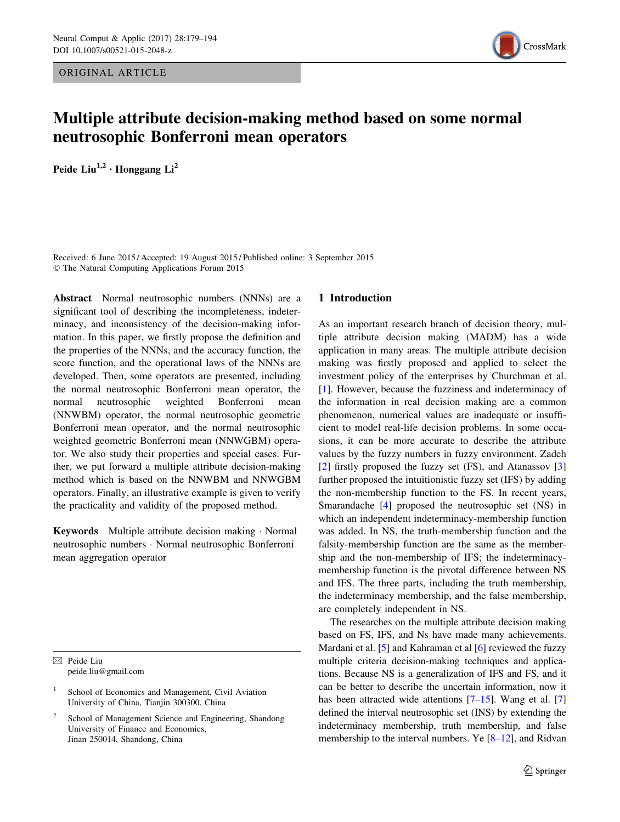ORIGINAL ARTICLE



# Multiple attribute decision-making method based on some normal neutrosophic Bonferroni mean operators

Peide Liu<sup>1,2</sup> · Honggang Li<sup>2</sup>

Received: 6 June 2015 / Accepted: 19 August 2015 / Published online: 3 September 2015 © The Natural Computing Applications Forum 2015

Abstract Normal neutrosophic numbers (NNNs) are a significant tool of describing the incompleteness, indeterminacy, and inconsistency of the decision-making information. In this paper, we firstly propose the definition and the properties of the NNNs, and the accuracy function, the score function, and the operational laws of the NNNs are developed. Then, some operators are presented, including the normal neutrosophic Bonferroni mean operator, the normal neutrosophic weighted Bonferroni mean (NNWBM) operator, the normal neutrosophic geometric Bonferroni mean operator, and the normal neutrosophic weighted geometric Bonferroni mean (NNWGBM) operator. We also study their properties and special cases. Further, we put forward a multiple attribute decision-making method which is based on the NNWBM and NNWGBM operators. Finally, an illustrative example is given to verify the practicality and validity of the proposed method.

Keywords Multiple attribute decision making · Normal neutrosophic numbers - Normal neutrosophic Bonferroni mean aggregation operator

 $\boxtimes$  Peide Liu peide.liu@gmail.com

### 1 Introduction

As an important research branch of decision theory, multiple attribute decision making (MADM) has a wide application in many areas. The multiple attribute decision making was firstly proposed and applied to select the investment policy of the enterprises by Churchman et al. [\[1](#page-14-0)]. However, because the fuzziness and indeterminacy of the information in real decision making are a common phenomenon, numerical values are inadequate or insufficient to model real-life decision problems. In some occasions, it can be more accurate to describe the attribute values by the fuzzy numbers in fuzzy environment. Zadeh [\[2](#page-14-0)] firstly proposed the fuzzy set (FS), and Atanassov [[3\]](#page-14-0) further proposed the intuitionistic fuzzy set (IFS) by adding the non-membership function to the FS. In recent years, Smarandache [\[4](#page-14-0)] proposed the neutrosophic set (NS) in which an independent indeterminacy-membership function was added. In NS, the truth-membership function and the falsity-membership function are the same as the membership and the non-membership of IFS; the indeterminacymembership function is the pivotal difference between NS and IFS. The three parts, including the truth membership, the indeterminacy membership, and the false membership, are completely independent in NS.

The researches on the multiple attribute decision making based on FS, IFS, and Ns have made many achievements. Mardani et al. [\[5](#page-14-0)] and Kahraman et al [\[6](#page-14-0)] reviewed the fuzzy multiple criteria decision-making techniques and applications. Because NS is a generalization of IFS and FS, and it can be better to describe the uncertain information, now it has been attracted wide attentions  $[7-15]$ . Wang et al. [\[7\]](#page-14-0) defined the interval neutrosophic set (INS) by extending the indeterminacy membership, truth membership, and false membership to the interval numbers. Ye [\[8–12\]](#page-14-0), and Ridvan

School of Economics and Management, Civil Aviation University of China, Tianjin 300300, China

School of Management Science and Engineering, Shandong University of Finance and Economics, Jinan 250014, Shandong, China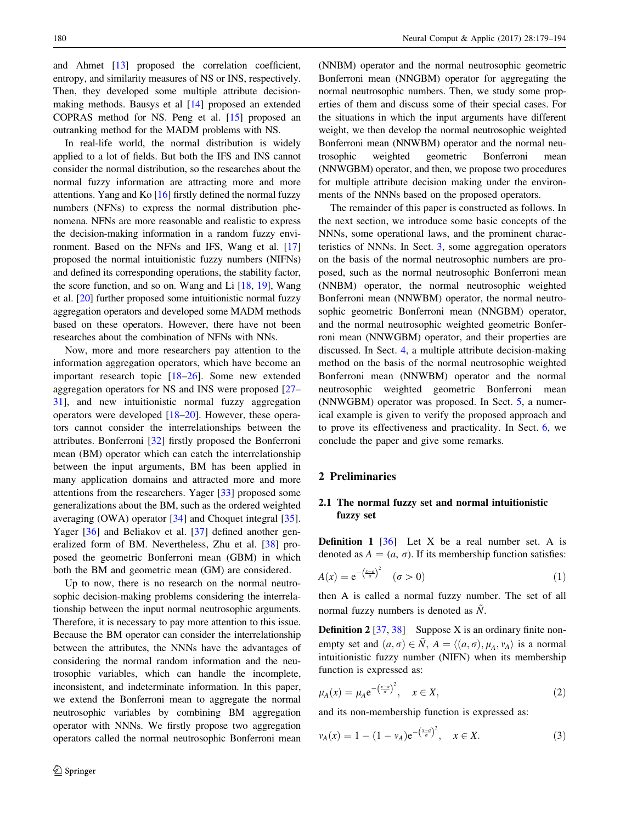and Ahmet [[13\]](#page-14-0) proposed the correlation coefficient, entropy, and similarity measures of NS or INS, respectively. Then, they developed some multiple attribute decisionmaking methods. Bausys et al [[14\]](#page-14-0) proposed an extended COPRAS method for NS. Peng et al. [[15](#page-14-0)] proposed an outranking method for the MADM problems with NS.

In real-life world, the normal distribution is widely applied to a lot of fields. But both the IFS and INS cannot consider the normal distribution, so the researches about the normal fuzzy information are attracting more and more attentions. Yang and Ko [\[16](#page-14-0)] firstly defined the normal fuzzy numbers (NFNs) to express the normal distribution phenomena. NFNs are more reasonable and realistic to express the decision-making information in a random fuzzy environment. Based on the NFNs and IFS, Wang et al. [\[17\]](#page-14-0) proposed the normal intuitionistic fuzzy numbers (NIFNs) and defined its corresponding operations, the stability factor, the score function, and so on. Wang and Li  $[18, 19]$  $[18, 19]$  $[18, 19]$  $[18, 19]$ , Wang et al. [[20](#page-14-0)] further proposed some intuitionistic normal fuzzy aggregation operators and developed some MADM methods based on these operators. However, there have not been researches about the combination of NFNs with NNs.

Now, more and more researchers pay attention to the information aggregation operators, which have become an important research topic  $[18-26]$  $[18-26]$ . Some new extended aggregation operators for NS and INS were proposed [\[27](#page-15-0)– [31](#page-15-0)], and new intuitionistic normal fuzzy aggregation operators were developed [[18–20\]](#page-14-0). However, these operators cannot consider the interrelationships between the attributes. Bonferroni [\[32](#page-15-0)] firstly proposed the Bonferroni mean (BM) operator which can catch the interrelationship between the input arguments, BM has been applied in many application domains and attracted more and more attentions from the researchers. Yager [\[33](#page-15-0)] proposed some generalizations about the BM, such as the ordered weighted averaging (OWA) operator [\[34](#page-15-0)] and Choquet integral [\[35](#page-15-0)]. Yager [[36\]](#page-15-0) and Beliakov et al. [[37\]](#page-15-0) defined another generalized form of BM. Nevertheless, Zhu et al. [[38\]](#page-15-0) proposed the geometric Bonferroni mean (GBM) in which both the BM and geometric mean (GM) are considered.

Up to now, there is no research on the normal neutrosophic decision-making problems considering the interrelationship between the input normal neutrosophic arguments. Therefore, it is necessary to pay more attention to this issue. Because the BM operator can consider the interrelationship between the attributes, the NNNs have the advantages of considering the normal random information and the neutrosophic variables, which can handle the incomplete, inconsistent, and indeterminate information. In this paper, we extend the Bonferroni mean to aggregate the normal neutrosophic variables by combining BM aggregation operator with NNNs. We firstly propose two aggregation operators called the normal neutrosophic Bonferroni mean (NNBM) operator and the normal neutrosophic geometric Bonferroni mean (NNGBM) operator for aggregating the normal neutrosophic numbers. Then, we study some properties of them and discuss some of their special cases. For the situations in which the input arguments have different weight, we then develop the normal neutrosophic weighted Bonferroni mean (NNWBM) operator and the normal neutrosophic weighted geometric Bonferroni mean (NNWGBM) operator, and then, we propose two procedures for multiple attribute decision making under the environments of the NNNs based on the proposed operators.

The remainder of this paper is constructed as follows. In the next section, we introduce some basic concepts of the NNNs, some operational laws, and the prominent characteristics of NNNs. In Sect. [3,](#page-3-0) some aggregation operators on the basis of the normal neutrosophic numbers are proposed, such as the normal neutrosophic Bonferroni mean (NNBM) operator, the normal neutrosophic weighted Bonferroni mean (NNWBM) operator, the normal neutrosophic geometric Bonferroni mean (NNGBM) operator, and the normal neutrosophic weighted geometric Bonferroni mean (NNWGBM) operator, and their properties are discussed. In Sect. [4](#page-10-0), a multiple attribute decision-making method on the basis of the normal neutrosophic weighted Bonferroni mean (NNWBM) operator and the normal neutrosophic weighted geometric Bonferroni mean (NNWGBM) operator was proposed. In Sect. [5](#page-11-0), a numerical example is given to verify the proposed approach and to prove its effectiveness and practicality. In Sect. [6,](#page-14-0) we conclude the paper and give some remarks.

### 2 Preliminaries

# 2.1 The normal fuzzy set and normal intuitionistic fuzzy set

**Definition 1** [[36\]](#page-15-0) Let X be a real number set. A is denoted as  $A = (a, \sigma)$ . If its membership function satisfies:

$$
A(x) = e^{-\left(\frac{x-a}{\sigma}\right)^2} \quad (\sigma > 0)
$$
 (1)

then A is called a normal fuzzy number. The set of all normal fuzzy numbers is denoted as  $N$ .

**Definition 2** [\[37](#page-15-0), [38](#page-15-0)] Suppose X is an ordinary finite nonempty set and  $(a, \sigma) \in \tilde{N}$ ,  $A = \langle (a, \sigma), \mu_A, \nu_A \rangle$  is a normal intuitionistic fuzzy number (NIFN) when its membership function is expressed as:

$$
\mu_A(x) = \mu_A e^{-\left(\frac{x-a}{\sigma}\right)^2}, \quad x \in X,\tag{2}
$$

and its non-membership function is expressed as:

$$
v_A(x) = 1 - (1 - v_A)e^{-\left(\frac{x-a}{\sigma}\right)^2}, \quad x \in X.
$$
 (3)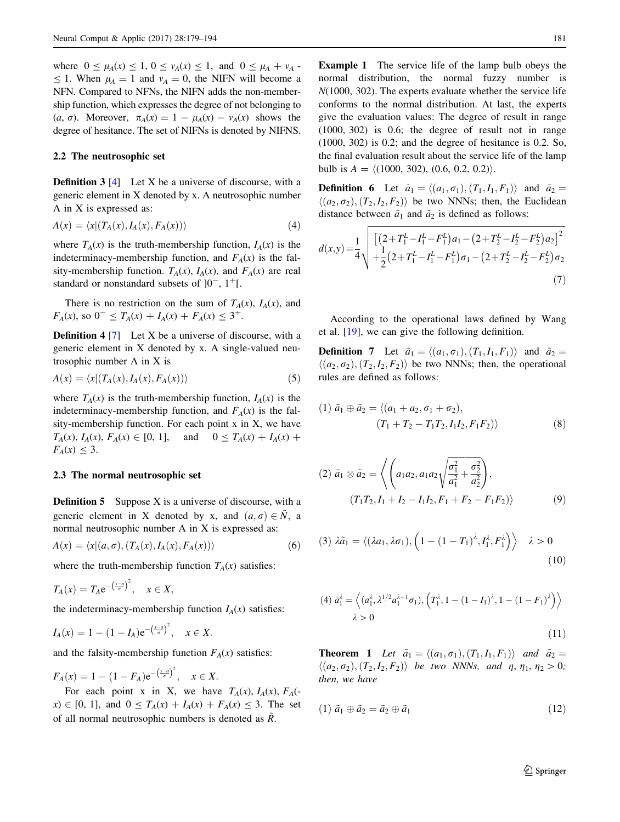where  $0 \le \mu_A(x) \le 1, 0 \le \nu_A(x) \le 1$ , and  $0 \le \mu_A + \nu_A$  $\leq$  1. When  $\mu_A = 1$  and  $v_A = 0$ , the NIFN will become a NFN. Compared to NFNs, the NIFN adds the non-membership function, which expresses the degree of not belonging to (a,  $\sigma$ ). Moreover,  $\pi_A(x) = 1 - \mu_A(x) - \nu_A(x)$  shows the degree of hesitance. The set of NIFNs is denoted by NIFNS.

### 2.2 The neutrosophic set

**Definition 3** [\[4](#page-14-0)] Let X be a universe of discourse, with a generic element in X denoted by x. A neutrosophic number A in X is expressed as:

$$
A(x) = \langle x | (T_A(x), I_A(x), F_A(x)) \rangle \tag{4}
$$

where  $T_A(x)$  is the truth-membership function,  $I_A(x)$  is the indeterminacy-membership function, and  $F_A(x)$  is the falsity-membership function.  $T_A(x)$ ,  $I_A(x)$ , and  $F_A(x)$  are real standard or nonstandard subsets of  $]0^-, 1^+[$ .

There is no restriction on the sum of  $T_A(x)$ ,  $I_A(x)$ , and  $F_A(x)$ , so  $0^- \leq T_A(x) + I_A(x) + F_A(x) \leq 3^+$ .

**Definition 4** [\[7](#page-14-0)] Let X be a universe of discourse, with a generic element in X denoted by x. A single-valued neutrosophic number A in X is

$$
A(x) = \langle x | (T_A(x), I_A(x), F_A(x)) \rangle \tag{5}
$$

where  $T_A(x)$  is the truth-membership function,  $I_A(x)$  is the indeterminacy-membership function, and  $F_A(x)$  is the falsity-membership function. For each point  $x$  in  $X$ , we have  $T_A(x)$ ,  $I_A(x)$ ,  $F_A(x) \in [0, 1]$ , and  $0 \le T_A(x) + I_A(x) +$  $F_A(x) \leq 3$ .

### 2.3 The normal neutrosophic set

**Definition 5** Suppose X is a universe of discourse, with a generic element in X denoted by x, and  $(a, \sigma) \in \tilde{N}$ , a normal neutrosophic number A in X is expressed as:

$$
A(x) = \langle x | (a, \sigma), (T_A(x), I_A(x), F_A(x)) \rangle \tag{6}
$$

where the truth-membership function  $T_A(x)$  satisfies:

$$
T_A(x) = T_A e^{-\left(\frac{x-a}{\sigma}\right)^2}, \quad x \in X,
$$

the indeterminacy-membership function  $I_A(x)$  satisfies:

$$
I_A(x) = 1 - (1 - I_A)e^{-\left(\frac{x-a}{\sigma}\right)^2}, \quad x \in X.
$$

and the falsity-membership function  $F_A(x)$  satisfies:

$$
F_A(x) = 1 - (1 - F_A)e^{-\left(\frac{x-a}{\sigma}\right)^2}, \quad x \in X.
$$

For each point x in X, we have  $T_A(x)$ ,  $I_A(x)$ ,  $F_A($  $x \in [0, 1]$ , and  $0 \le T_A(x) + I_A(x) + F_A(x) \le 3$ . The set of all normal neutrosophic numbers is denoted as  $\tilde{R}$ .

Example 1 The service life of the lamp bulb obeys the normal distribution, the normal fuzzy number is  $N(1000, 302)$ . The experts evaluate whether the service life conforms to the normal distribution. At last, the experts give the evaluation values: The degree of result in range (1000, 302) is 0.6; the degree of result not in range  $(1000, 302)$  is 0.2; and the degree of hesitance is 0.2. So, the final evaluation result about the service life of the lamp bulb is  $A = \langle (1000, 302), (0.6, 0.2, 0.2) \rangle$ .

**Definition 6** Let  $\tilde{a}_1 = \langle (a_1, \sigma_1), (T_1, I_1, F_1) \rangle$  and  $\tilde{a}_2 =$  $\langle (a_2, \sigma_2), (T_2, I_2, F_2) \rangle$  be two NNNs; then, the Euclidean distance between  $\tilde{a}_1$  and  $\tilde{a}_2$  is defined as follows:

$$
d(x,y) = \frac{1}{4} \sqrt{\frac{\left[ \left(2 + T_1^L - I_1^L - F_1^L\right) a_1 - \left(2 + T_2^L - I_2^L - F_2^L\right) a_2\right]^2}{+\frac{1}{2} \left(2 + T_1^L - I_1^L - F_1^L\right) \sigma_1 - \left(2 + T_2^L - I_2^L - F_2^L\right) \sigma_2}}
$$
\n(7)

According to the operational laws defined by Wang et al. [\[19](#page-14-0)], we can give the following definition.

**Definition 7** Let  $\tilde{a}_1 = \langle (a_1, \sigma_1), (T_1, I_1, F_1) \rangle$  and  $\tilde{a}_2 =$  $\langle (a_2, \sigma_2), (T_2, I_2, F_2) \rangle$  be two NNNs; then, the operational rules are defined as follows:

(1) 
$$
\tilde{a}_1 \oplus \tilde{a}_2 = \langle (a_1 + a_2, \sigma_1 + \sigma_2),
$$
  
\n $(T_1 + T_2 - T_1 T_2, I_1 I_2, F_1 F_2) \rangle$  (8)

$$
(2) \tilde{a}_1 \otimes \tilde{a}_2 = \left\langle \left( a_1 a_2, a_1 a_2 \sqrt{\frac{\sigma_1^2}{a_1^2} + \frac{\sigma_2^2}{a_2^2}} \right), \left( T_1 T_2, I_1 + I_2 - I_1 I_2, F_1 + F_2 - F_1 F_2) \right\rangle \right\rangle \tag{9}
$$

(3) 
$$
\lambda \tilde{a}_1 = \langle (\lambda a_1, \lambda \sigma_1), \left(1 - (1 - T_1)^{\lambda}, I_1^{\lambda}, F_1^{\lambda}\right) \rangle \quad \lambda > 0
$$
 (10)

(4) 
$$
\tilde{a}_1^{\lambda} = \left\langle (a_1^{\lambda}, \lambda^{1/2} a_1^{\lambda - 1} \sigma_1), (T_1^{\lambda}, 1 - (1 - I_1)^{\lambda}, 1 - (1 - F_1)^{\lambda}) \right\rangle
$$
  
 $\lambda > 0$  (11)

**Theorem 1** Let  $\tilde{a}_1 = \langle (a_1, \sigma_1), (T_1, I_1, F_1) \rangle$  and  $\tilde{a}_2 =$  $\langle (a_2, \sigma_2), (T_2, I_2, F_2) \rangle$  be two NNNs, and  $\eta$ ,  $\eta_1$ ,  $\eta_2 > 0$ ; then, we have

$$
(1) \tilde{a}_1 \oplus \tilde{a}_2 = \tilde{a}_2 \oplus \tilde{a}_1 \tag{12}
$$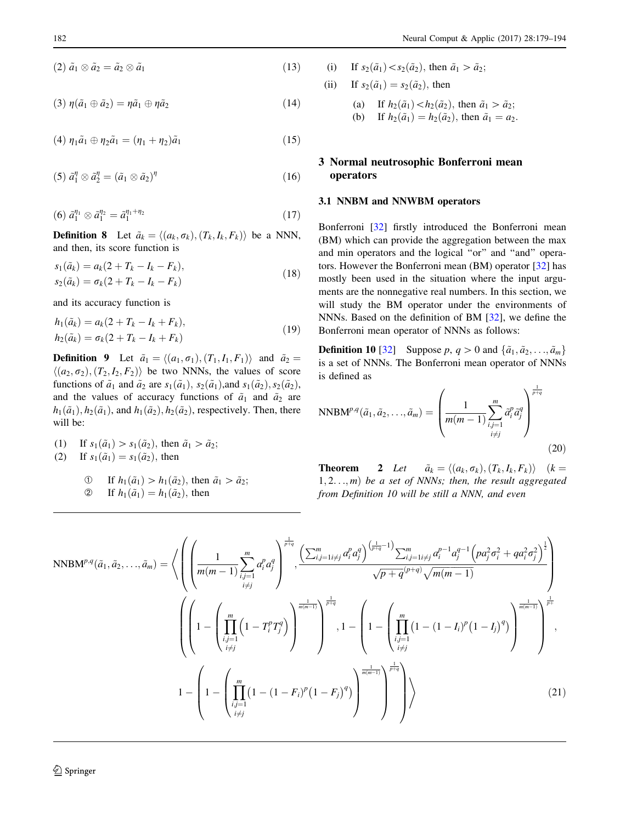<span id="page-3-0"></span> $\tilde{a}_1 \otimes \tilde{a}_2 = \tilde{a}_2 \otimes \tilde{a}_1$ (13)

$$
(3) \ \eta(\tilde{a}_1 \oplus \tilde{a}_2) = \eta \tilde{a}_1 \oplus \eta \tilde{a}_2 \tag{14}
$$

$$
(4) \eta_1 \tilde{a}_1 \oplus \eta_2 \tilde{a}_1 = (\eta_1 + \eta_2) \tilde{a}_1 \tag{15}
$$

$$
(5) \tilde{a}_1^{\eta} \otimes \tilde{a}_2^{\eta} = (\tilde{a}_1 \otimes \tilde{a}_2)^{\eta} \tag{16}
$$

(6) 
$$
\tilde{a}_1^{\eta_1} \otimes \tilde{a}_1^{\eta_2} = \tilde{a}_1^{\eta_1 + \eta_2}
$$
 (17)

**Definition 8** Let  $\tilde{a}_k = \langle (a_k, \sigma_k), (T_k, I_k, F_k) \rangle$  be a NNN, and then, its score function is

$$
s_1(\tilde{a}_k) = a_k(2 + T_k - I_k - F_k),
$$
  
\n
$$
s_2(\tilde{a}_k) = \sigma_k(2 + T_k - I_k - F_k)
$$
\n(18)

and its accuracy function is

$$
h_1(\tilde{a}_k) = a_k(2 + T_k - I_k + F_k),
$$
  
\n
$$
h_2(\tilde{a}_k) = \sigma_k(2 + T_k - I_k + F_k)
$$
\n(19)

**Definition 9** Let  $\tilde{a}_1 = \langle (a_1, \sigma_1), (T_1, I_1, F_1) \rangle$  and  $\tilde{a}_2 =$  $\langle (a_2, \sigma_2), (T_2, I_2, F_2) \rangle$  be two NNNs, the values of score functions of  $\tilde{a}_1$  and  $\tilde{a}_2$  are  $s_1(\tilde{a}_1), s_2(\tilde{a}_1)$ , and  $s_1(\tilde{a}_2), s_2(\tilde{a}_2)$ , and the values of accuracy functions of  $\tilde{a}_1$  and  $\tilde{a}_2$  are  $h_1(\tilde{a}_1), h_2(\tilde{a}_1)$ , and  $h_1(\tilde{a}_2), h_2(\tilde{a}_2)$ , respectively. Then, there will be:

\n- (1) If 
$$
s_1(\tilde{a}_1) > s_1(\tilde{a}_2)
$$
, then  $\tilde{a}_1 > \tilde{a}_2$ ;
\n- (2) If  $s_1(\tilde{a}_1) = s_1(\tilde{a}_2)$ , then
\n

\n- ① If 
$$
h_1(\tilde{a}_1) > h_1(\tilde{a}_2)
$$
, then  $\tilde{a}_1 > \tilde{a}_2$ ;
\n- ② If  $h_1(\tilde{a}_1) = h_1(\tilde{a}_2)$ , then
\n

(i) If 
$$
s_2(\tilde{a}_1) < s_2(\tilde{a}_2)
$$
, then  $\tilde{a}_1 > \tilde{a}_2$ ;

(ii) If  $s_2(\tilde{a}_1) = s_2(\tilde{a}_2)$ , then

(a) If 
$$
h_2(\tilde{a}_1) < h_2(\tilde{a}_2)
$$
, then  $\tilde{a}_1 > \tilde{a}_2$ ;

(b) If 
$$
h_2(\tilde{a}_1) = h_2(\tilde{a}_2)
$$
, then  $\tilde{a}_1 = a_2$ .

## 3 Normal neutrosophic Bonferroni mean operators

#### 3.1 NNBM and NNWBM operators

Bonferroni [[32\]](#page-15-0) firstly introduced the Bonferroni mean (BM) which can provide the aggregation between the max and min operators and the logical "or" and "and" operators. However the Bonferroni mean (BM) operator [\[32](#page-15-0)] has mostly been used in the situation where the input arguments are the nonnegative real numbers. In this section, we will study the BM operator under the environments of NNNs. Based on the definition of BM [[32\]](#page-15-0), we define the Bonferroni mean operator of NNNs as follows:

**Definition 10** [\[32](#page-15-0)] Suppose  $p, q > 0$  and  $\{\tilde{a}_1, \tilde{a}_2, \ldots, \tilde{a}_m\}$ is a set of NNNs. The Bonferroni mean operator of NNNs is defined as

NNBM<sup>p,q</sup>(
$$
\tilde{a}_1, \tilde{a}_2, ..., \tilde{a}_m
$$
) = 
$$
\left( \frac{1}{m(m-1)} \sum_{\substack{i,j=1 \ i \neq j}}^m \tilde{a}_i^p \tilde{a}_j^q \right)^{\frac{1}{p+q}}
$$
(20)

**Theorem** 2 Let  $\tilde{a}_k = \langle (a_k, \sigma_k), (T_k, I_k, F_k) \rangle$   $(k =$  $1, 2, \ldots, m$ ) be a set of NNNs; then, the result aggregated from Definition 10 will be still a NNN, and even

$$
NNBM^{p,q}(\tilde{a}_{1}, \tilde{a}_{2},..., \tilde{a}_{m}) = \left\langle \left( \left( \frac{1}{m(m-1)} \sum_{\substack{i,j=1 \ i \neq j}}^{m} a_{i}^{p} a_{j}^{q} \right)^{\frac{1}{p+q}} , \frac{\left( \sum_{i,j=1 \ i \neq j}^{m} a_{i}^{p} a_{j}^{q} \right)^{\left( \frac{1}{p+q}-1 \right)} \sum_{i,j=1 \ i \neq j}^{m} a_{i}^{p} a_{j}^{q-1} \left( p a_{j}^{2} \sigma_{i}^{2} + q a_{i}^{2} \sigma_{j}^{2} \right)^{\frac{1}{2}}}{\sqrt{p+q}^{(p+q)} \sqrt{m(m-1)}}
$$
\n
$$
\left( \left( 1 - \left( \prod_{\substack{i,j=1 \ i \neq j}}^{m} \left( 1 - T_{i}^{p} T_{j}^{q} \right) \right)^{\frac{1}{m(m-1)}} \right)^{\frac{1}{p+q}}, 1 - \left( 1 - \left( \prod_{\substack{i,j=1 \ i \neq j}}^{m} \left( 1 - (1 - I_{i})^{p} (1 - I_{j})^{q} \right) \right)^{\frac{1}{m(m-1)}} \right)^{\frac{1}{p+q}},
$$
\n
$$
1 - \left( 1 - \left( \prod_{\substack{i,j=1 \ i \neq j}}^{m} \left( 1 - (1 - F_{i})^{p} (1 - F_{j})^{q} \right) \right)^{\frac{1}{m(m-1)}} \right)^{\frac{1}{p+q}} \right\rangle \right\rangle
$$
\n(21)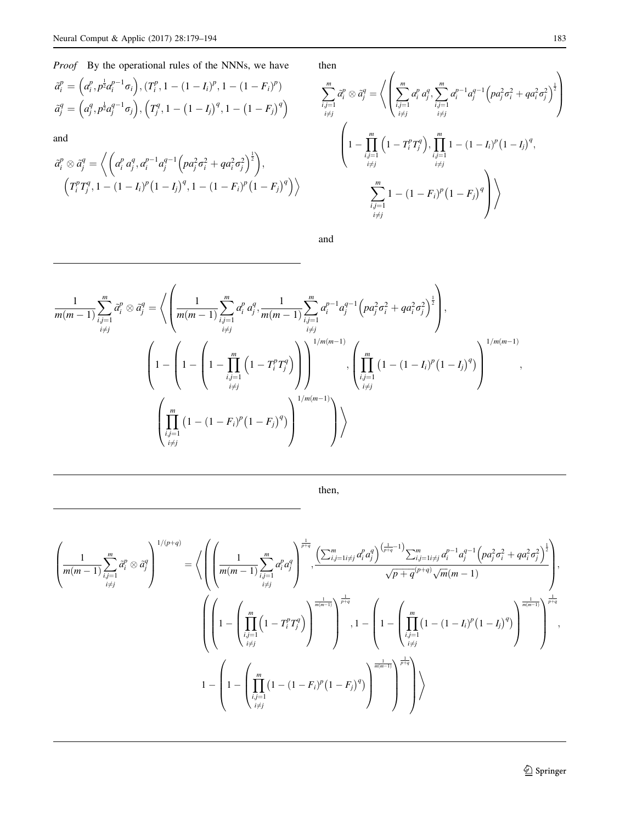Proof By the operational rules of the NNNs, we have

$$
\tilde{a}_i^p = \left(a_i^p, p^{\frac{1}{2}} a_i^{p-1} \sigma_i\right), \left(T_i^p, 1 - (1 - I_i)^p, 1 - (1 - F_i)^p\right)
$$

$$
\tilde{a}_j^q = \left(a_j^q, p^{\frac{1}{2}} a_j^{q-1} \sigma_j\right), \left(T_j^q, 1 - (1 - I_j)^q, 1 - (1 - F_j)^q\right)
$$

and

$$
\tilde{a}_i^p \otimes \tilde{a}_j^q = \left\langle \left( a_i^p a_j^q, a_i^{p-1} a_j^{q-1} \left( p a_j^2 \sigma_i^2 + q a_i^2 \sigma_j^2 \right)^{\frac{1}{2}} \right), \\ \left( T_i^p T_j^q, 1 - (1 - I_i)^p (1 - I_j)^q, 1 - (1 - F_i)^p (1 - F_j)^q \right) \right\rangle
$$

then

$$
\sum_{\substack{i,j=1 \ i \neq j}}^m \tilde{a}_i^p \otimes \tilde{a}_j^q = \left\langle \left( \sum_{\substack{i,j=1 \ i \neq j}}^m a_i^p a_j^q, \sum_{\substack{i,j=1 \ i \neq j}}^m a_i^{p-1} a_j^{q-1} \left( p a_j^2 \sigma_i^2 + q a_i^2 \sigma_j^2 \right)^{\frac{1}{2}} \right) \right\rangle
$$

$$
\left( 1 - \prod_{\substack{i,j=1 \ i \neq j}}^m \left( 1 - T_i^p T_j^q \right), \prod_{\substack{i,j=1 \ i \neq j}}^m 1 - (1 - I_i)^p (1 - I_j)^q, \sum_{\substack{i,j=1 \ i \neq j}}^m 1 - (1 - F_i)^p (1 - F_j)^q \right) \right\rangle
$$

and

$$
\frac{1}{m(m-1)} \sum_{\substack{i,j=1 \ i \neq j}}^m \tilde{a}_i^p \otimes \tilde{a}_j^q = \left\langle \left( \frac{1}{m(m-1)} \sum_{\substack{i,j=1 \ i \neq j}}^m a_i^p a_j^q, \frac{1}{m(m-1)} \sum_{\substack{i,j=1 \ i \neq j}}^m a_i^{p-1} a_j^{q-1} \left( p a_j^2 \sigma_i^2 + q a_i^2 \sigma_j^2 \right)^{\frac{1}{2}} \right),
$$
\n
$$
\left( 1 - \left( 1 - \left( 1 - \prod_{\substack{i,j=1 \ i \neq j}}^m \left( 1 - T_i^p T_j^q \right) \right) \right)^{1/m(m-1)}, \left( \prod_{\substack{i,j=1 \ i \neq j}}^m \left( 1 - (1 - I_i)^p (1 - I_j)^q \right) \right)^{1/m(m-1)},
$$
\n
$$
\left( \prod_{\substack{i,j=1 \ i \neq j}}^m \left( 1 - (1 - F_i)^p (1 - F_j)^q \right) \right)^{1/m(m-1)} \right) \right\rangle
$$

then,

$$
\left(\frac{1}{m(m-1)}\sum_{\substack{i,j=1 \ i \neq j}}^m \tilde{a}_i^p \otimes \tilde{a}_j^q\right)^{1/(p+q)} = \left\langle \left(\left(\frac{1}{m(m-1)}\sum_{\substack{i,j=1 \ i \neq j}}^m a_i^p a_j^q\right)^{\frac{1}{p+q}} , \frac{\left(\sum_{\substack{i,j=1 \ i \neq j}}^m a_i^p a_j^q\right)^{\left(\frac{1}{p+q}-1\right)} \sum_{\substack{i,j=1 \ i \neq j}}^m a_i^p a_j^q}{\sqrt{p+q}^{(p+q)} \sqrt{m}(m-1)}\right)^{\frac{1}{m(m-1)}} \right\} ,
$$
  

$$
\left(\left(1 - \left(\prod_{\substack{i,j=1 \ i \neq j}}^m \left(1-T_i^p T_j^q\right)\right)^{\frac{1}{m(m-1)}}\right)^{\frac{1}{p+q}}, 1 - \left(1 - \left(\prod_{\substack{i,j=1 \ i \neq j}}^m \left(1-(1-I_i)^p(1-I_j)^q\right)\right)^{\frac{1}{m(m-1)}}\right)^{\frac{1}{p+q}},
$$
  

$$
1 - \left(1 - \left(\prod_{\substack{i,j=1 \ i \neq j}}^m \left(1-(1-F_i)^p(1-F_j)^q\right)\right)^{\frac{1}{m(m-1)}}\right)^{\frac{1}{p+q}}\right)\right\rangle
$$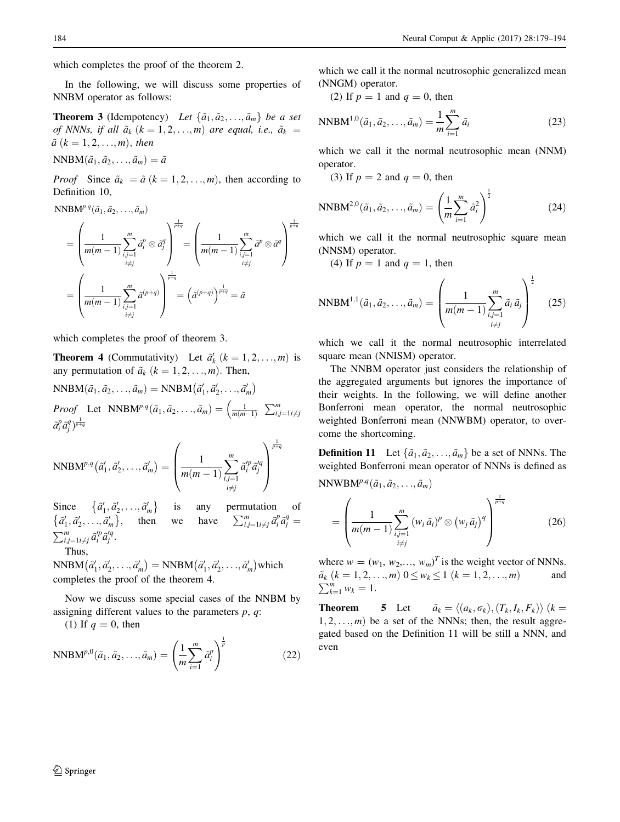which completes the proof of the theorem 2.

In the following, we will discuss some properties of NNBM operator as follows:

**Theorem 3** (Idempotency) Let  $\{\tilde{a}_1, \tilde{a}_2, \ldots, \tilde{a}_m\}$  be a set of NNNs, if all  $\tilde{a}_k$   $(k = 1, 2, \ldots, m)$  are equal, i.e.,  $\tilde{a}_k$  =  $\tilde{a}$   $(k = 1, 2, ..., m)$ , then

 $NNBM(\tilde{a}_1, \tilde{a}_2, \ldots, \tilde{a}_m) = \tilde{a}$ 

*Proof* Since  $\tilde{a}_k = \tilde{a}$   $(k = 1, 2, ..., m)$ , then according to Definition 10,

$$
\begin{split} \text{NNBM}^{p,q}(\tilde{a}_1, \tilde{a}_2, \dots, \tilde{a}_m) \\ &= \left( \frac{1}{m(m-1)} \sum_{\substack{i,j=1 \\ i \neq j}}^m \tilde{a}_i^p \otimes \tilde{a}_j^q \right)_{i \neq j}^{\frac{1}{p+q}} = \left( \frac{1}{m(m-1)} \sum_{\substack{i,j=1 \\ i \neq j}}^m \tilde{a}^p \otimes \tilde{a}^q \right)_{i \neq j}^{\frac{1}{p+q}} \\ &= \left( \frac{1}{m(m-1)} \sum_{\substack{i,j=1 \\ i \neq j}}^m \tilde{a}^{(p+q)} \right)_{i \neq j}^{\frac{1}{p+q}} = \left( \tilde{a}^{(p+q)} \right)^{\frac{1}{p+q}} = \tilde{a} \end{split}
$$

which completes the proof of theorem 3.

**Theorem 4** (Commutativity) Let  $\tilde{a}'_k$  ( $k = 1, 2, ..., m$ ) is any permutation of  $\tilde{a}_k$   $(k = 1, 2, \ldots, m)$ . Then,

NNBM(
$$
\tilde{a}_1, \tilde{a}_2, ..., \tilde{a}_m
$$
) = NNBM( $\tilde{a}'_1, \tilde{a}'_2, ..., \tilde{a}'_m$ )  
\nProof Let NNBM<sup>p,q</sup>( $\tilde{a}_1, \tilde{a}_2, ..., \tilde{a}_m$ ) = ( $\frac{1}{m(m-1)} \sum_{i,j=1}^m i \neq j$   
\n $\tilde{a}_i^p \tilde{a}_j^q$ ) $\frac{1}{p+q}$ 

$$
\text{NNBM}^{p,q}\big(\tilde{a}'_1, \tilde{a}'_2, \ldots, \tilde{a}'_m\big) = \left(\frac{1}{m(m-1)}\sum_{\substack{i,j=1 \ i \neq j}}^m \tilde{a}'^p_i \tilde{a}'^q_j\right)^{\frac{1}{p+q}}
$$

Since  $\{\tilde{a}'_1, \tilde{a}'_2, \ldots, \tilde{a}'_m\}$  is any permutation of  $\{\tilde{a}'_1, \tilde{a}'_2, \ldots, \tilde{a}'_m\}$ , then we have  $\sum_{i,j=1 i \neq j}^m \tilde{a}'_i \tilde{a}^q_j =$ <br> $\sum_{j=1}^m a' p a' q$  $\sum_{i,j=1}^m i \neq j \tilde{a}_i^p \tilde{a}_j^q$  $\tilde{a}_i^{\prime p} \tilde{a}_j^{\prime q}$ . Thus,

 $NNBM(\tilde{a}'_1, \tilde{a}'_2, \ldots, \tilde{a}'_m) = NNBM(\tilde{a}'_1, \tilde{a}'_2, \ldots, \tilde{a}'_m)$  which completes the proof of the theorem 4.

Now we discuss some special cases of the NNBM by assigning different values to the parameters  $p$ ,  $q$ :

(1) If  $q = 0$ , then

NNBM<sup>p,0</sup>(
$$
\tilde{a}_1, \tilde{a}_2, ..., \tilde{a}_m
$$
) =  $\left(\frac{1}{m} \sum_{i=1}^m \tilde{a}_i^p\right)^{\frac{1}{p}}$  (22)

which we call it the normal neutrosophic generalized mean (NNGM) operator.

(2) If 
$$
p = 1
$$
 and  $q = 0$ , then

NNBM<sup>1,0</sup>(
$$
\tilde{a}_1, \tilde{a}_2, ..., \tilde{a}_m
$$
) =  $\frac{1}{m} \sum_{i=1}^{m} \tilde{a}_i$  (23)

which we call it the normal neutrosophic mean (NNM) operator.

(3) If  $p = 2$  and  $q = 0$ , then

NNBM<sup>2,0</sup>(
$$
\tilde{a}_1, \tilde{a}_2, ..., \tilde{a}_m
$$
) =  $\left(\frac{1}{m} \sum_{i=1}^{m} \tilde{a}_i^2\right)^{\frac{1}{2}}$  (24)

which we call it the normal neutrosophic square mean (NNSM) operator.

(4) If  $p = 1$  and  $q = 1$ , then

NNBM<sup>1,1</sup>(
$$
\tilde{a}_1, \tilde{a}_2, ..., \tilde{a}_m
$$
) = 
$$
\left(\frac{1}{m(m-1)}\sum_{\substack{i,j=1 \ i \neq j}}^m \tilde{a}_i \tilde{a}_j\right)^{\frac{1}{2}}
$$
(25)

which we call it the normal neutrosophic interrelated square mean (NNISM) operator.

The NNBM operator just considers the relationship of the aggregated arguments but ignores the importance of their weights. In the following, we will define another Bonferroni mean operator, the normal neutrosophic weighted Bonferroni mean (NNWBM) operator, to overcome the shortcoming.

**Definition 11** Let  $\{\tilde{a}_1, \tilde{a}_2, \ldots, \tilde{a}_m\}$  be a set of NNNs. The weighted Bonferroni mean operator of NNNs is defined as

 $NNWBM^{p,q}(\tilde{a}_1, \tilde{a}_2, \ldots, \tilde{a}_m)$  $\overline{1}$ 

$$
= \left(\frac{1}{m(m-1)}\sum_{\substack{i,j=1 \ i\neq j}}^m (w_i \, \tilde{a}_i)^p \otimes (w_j \, \tilde{a}_j)^q\right)^{\frac{1}{p+q}}
$$
(26)

where  $w = (w_1, w_2, ..., w_m)^T$  is the weight vector of NNNs.  $\tilde{a}_k$   $(k = 1, 2, ..., m)$   $0 \le w_k \le 1$   $(k = 1, 2, ..., m)$  and  $\sum_{k=1}^{m} w_k = 1.$ 

**Theorem** 5 Let  $\tilde{a}_k = \langle (a_k, \sigma_k), (T_k, I_k, F_k) \rangle \rangle$  (k =  $1, 2, \ldots, m$  be a set of the NNNs; then, the result aggregated based on the Definition 11 will be still a NNN, and even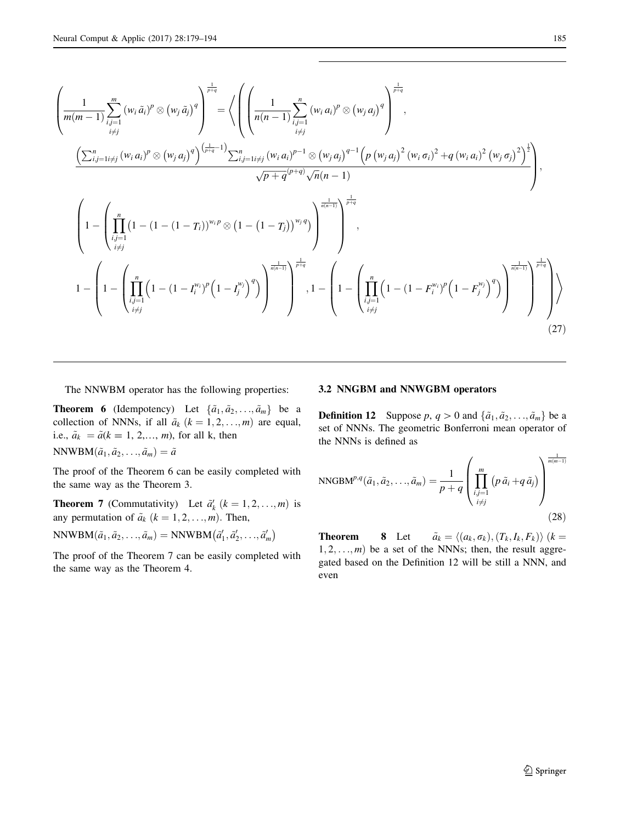$$
\left(\frac{1}{m(m-1)}\sum_{\substack{i,j=1 \ i\neq j}}^m (w_i \tilde{a}_i)^p \otimes (w_j \tilde{a}_j)^q\right)^{\frac{1}{p+q}} = \left\langle \left(\left(\frac{1}{n(n-1)}\sum_{\substack{i,j=1 \ i\neq j}}^n (w_i a_i)^p \otimes (w_j a_j)^q\right)^{\frac{1}{p+q}},\right.\right.
$$
\n
$$
\frac{\left(\sum_{\substack{i,j=1 \ i\neq j}}^n (w_i a_i)^p \otimes (w_j a_j)^q\right)^{\left(\frac{1}{p+q}-1\right)} \sum_{\substack{i,j=1 \ i\neq j}}^n (w_i a_i)^{p-1} \otimes (w_j a_j)^{q-1} \left(p(w_j a_j)^2 (w_i \sigma_i)^2 + q(w_i a_i)^2 (w_j \sigma_j)^2\right)^{\frac{1}{2}}}{\sqrt{p+q}^{(p+q)}\sqrt{n}(n-1)}\right),
$$
\n
$$
\left(1 - \left(\prod_{\substack{i,j=1 \ i\neq j}}^n (1 - (1 - (1 - T_i))^{w_i p} \otimes (1 - (1 - T_j))^{w_j q})\right)^{\frac{1}{m(n-1)}}\right)^{\frac{1}{p+q}},
$$
\n
$$
1 - \left(1 - \left(\prod_{\substack{i,j=1 \ i\neq j}}^n (1 - (1 - T_i^{w_i})^p (1 - T_j^{w_j})^q)\right)^{\frac{1}{m(n-1)}}\right)^{\frac{1}{p+q}}, 1 - \left(1 - \left(\prod_{\substack{i,j=1 \ i\neq j}}^n (1 - (1 - F_i^{w_i})^p (1 - F_j^{w_j})^q)\right)^{\frac{1}{m(n-1)}}\right)^{\frac{1}{p+q}}\right)\right)\right)
$$
\n(27)

The NNWBM operator has the following properties:

**Theorem 6** (Idempotency) Let  $\{\tilde{a}_1, \tilde{a}_2, \ldots, \tilde{a}_m\}$  be a collection of NNNs, if all  $\tilde{a}_k$   $(k = 1, 2, \ldots, m)$  are equal, i.e.,  $\tilde{a}_k = \tilde{a}(k = 1, 2, \ldots, m)$ , for all k, then  $NNWBM(\tilde{a}_1, \tilde{a}_2, \ldots, \tilde{a}_m) = \tilde{a}$ 

The proof of the Theorem 6 can be easily completed with the same way as the Theorem 3.

**Theorem 7** (Commutativity) Let  $\tilde{a}'_k$  ( $k = 1, 2, ..., m$ ) is any permutation of  $\tilde{a}_k$   $(k = 1, 2, \ldots, m)$ . Then,

 $NNWBM(\tilde{a}_1, \tilde{a}_2, \ldots, \tilde{a}_m) = NNWBM(\tilde{a}'_1, \tilde{a}'_2, \ldots, \tilde{a}'_m)$ 

The proof of the Theorem 7 can be easily completed with the same way as the Theorem 4.

### 3.2 NNGBM and NNWGBM operators

**Definition 12** Suppose  $p, q > 0$  and  $\{\tilde{a}_1, \tilde{a}_2, \ldots, \tilde{a}_m\}$  be a set of NNNs. The geometric Bonferroni mean operator of the NNNs is defined as

$$
NNGBM^{p,q}(\tilde{a}_1, \tilde{a}_2, \dots, \tilde{a}_m) = \frac{1}{p+q} \left( \prod_{\substack{i,j=1 \ i \neq j}}^m (p \, \tilde{a}_i + q \, \tilde{a}_j) \right)^{\frac{1}{m(m-1)}}
$$
\n(28)

**Theorem 8** Let  $\tilde{a}_k = \langle (a_k, \sigma_k), (T_k, I_k, F_k) \rangle$   $(k =$  $1, 2, \ldots, m$  be a set of the NNNs; then, the result aggregated based on the Definition 12 will be still a NNN, and even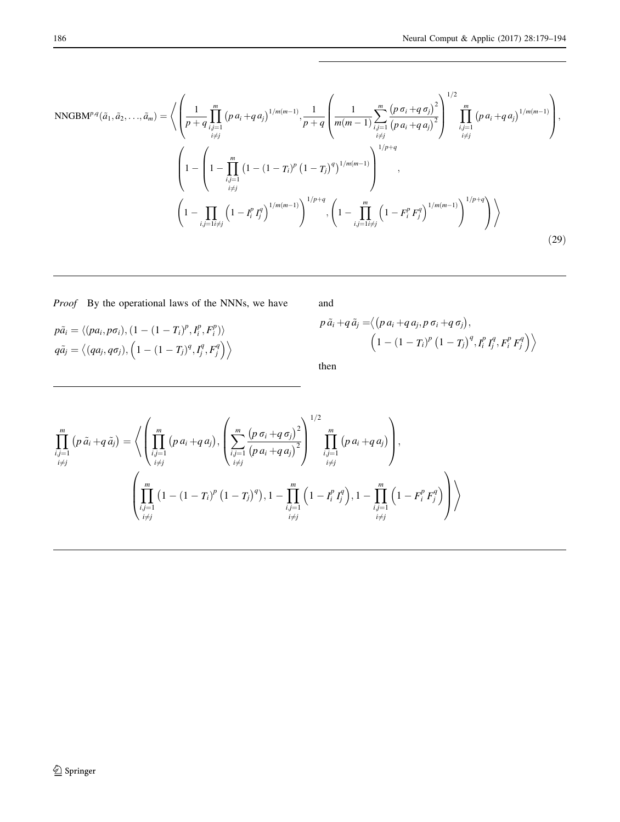$$
NNGBM^{p,q}(\tilde{a}_1, \tilde{a}_2, \dots, \tilde{a}_m) = \left\langle \left( \frac{1}{p+q} \prod_{\substack{i,j=1 \ i \neq j}}^m (p \, a_i + q \, a_j)^{1/m(m-1)}, \frac{1}{p+q} \left( \frac{1}{m(m-1)} \sum_{\substack{i,j=1 \ i \neq j}}^m \frac{(p \, \sigma_i + q \, \sigma_j)^2}{(p \, a_i + q \, a_j)^2} \right)^{1/2} \prod_{\substack{i,j=1 \ i \neq j}}^m (p \, a_i + q \, a_j)^{1/m(m-1)} \right\rangle,
$$
\n
$$
\left( 1 - \left( 1 - \prod_{\substack{i,j=1 \ i \neq j}}^m \left( 1 - (1 - T_i)^p (1 - T_j)^q \right)^{1/m(m-1)} \right)^{1/p+q}, \left( 1 - \prod_{\substack{i,j=1 \ i \neq j}}^m \left( 1 - F_i^p F_j^q \right)^{1/m(m-1)} \right)^{1/p+q} \right) \right\rangle
$$
\n
$$
(29)
$$

# Proof By the operational laws of the NNNs, we have

and

$$
p\tilde{a}_i = \langle (pa_i, p\sigma_i), (1 - (1 - T_i)^p, I_i^p, F_i^p) \rangle
$$
  

$$
q\tilde{a}_j = \langle (qa_j, q\sigma_j), (1 - (1 - T_j)^q, I_j^q, F_j^q) \rangle
$$

$$
p \tilde{a}_i + q \tilde{a}_j = \langle \left( p a_i + q a_j, p \sigma_i + q \sigma_j \right), \\ \left( 1 - (1 - T_i)^p \left( 1 - T_j \right)^q, I_i^p I_j^q, F_i^p F_j^q \right) \rangle
$$

then

$$
\prod_{\substack{i,j=1 \ i\neq j}}^m (p \tilde{a}_i + q \tilde{a}_j) = \left\langle \left( \prod_{\substack{i,j=1 \ i\neq j}}^m (p a_i + q a_j), \left( \sum_{\substack{i,j=1 \ i\neq j}}^m \frac{(p \sigma_i + q \sigma_j)^2}{(p a_i + q a_j)^2} \right)^{1/2} \prod_{\substack{i,j=1 \ i\neq j}}^m (p a_i + q a_j) \right),
$$
\n
$$
\left( \prod_{\substack{i,j=1 \ i\neq j}}^m (1 - (1 - T_i)^p (1 - T_j)^q), 1 - \prod_{\substack{i,j=1 \ i\neq j}}^m (1 - I_i^p I_j^q), 1 - \prod_{\substack{i,j=1 \ i\neq j}}^m (1 - F_i^p F_j^q) \right) \right\rangle
$$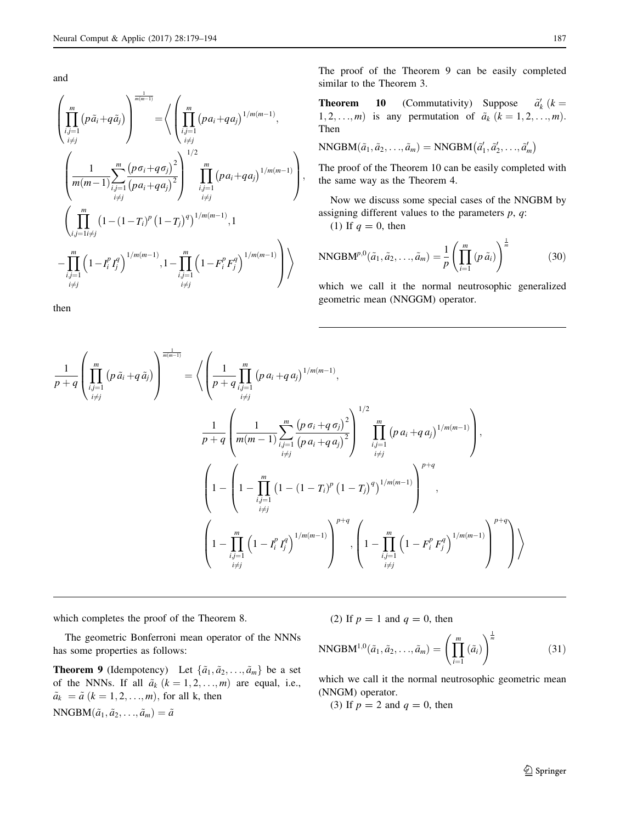and

$$
\left(\prod_{\substack{i,j=1 \ i\neq j}}^m (p\tilde{a}_i + q\tilde{a}_j)\right)^{\frac{1}{m(m-1)}} = \left\langle \left(\prod_{\substack{i,j=1 \ i\neq j}}^m (pa_i + qa_j)^{1/m(m-1)}, \frac{1}{m(m-1)}\right)^{\frac{m}{m}}\right)^{\frac{m}{m}} \prod_{\substack{i,j=1 \ i\neq j}}^m (pa_i + qa_j)^{2} \right)^{\frac{m}{m}} \prod_{\substack{i,j=1 \ i\neq j}}^m (pa_i + qa_j)^{1/m(m-1)} \right\rangle,
$$
\n
$$
\left(\prod_{\substack{i,j=1 \ i\neq j}}^m (1 - (1 - T_i)^p (1 - T_j)^q)^{1/m(m-1)}, 1 - \prod_{\substack{i,j=1 \ i\neq j}}^m (1 - F_i^p F_j^q)^{1/m(m-1)}\right)\right\rangle
$$

then

The proof of the Theorem 9 can be easily completed similar to the Theorem 3.

**Theorem** 10 (Commutativity) Suppose  $\tilde{a}'_k$  ( $k =$  $1, 2, \ldots, m$  is any permutation of  $\tilde{a}_k$   $(k = 1, 2, \ldots, m)$ . Then

$$
NNGBM(\tilde{a}_1, \tilde{a}_2, \ldots, \tilde{a}_m) = NNGBM(\tilde{a}'_1, \tilde{a}'_2, \ldots, \tilde{a}'_m)
$$

The proof of the Theorem 10 can be easily completed with the same way as the Theorem 4.

Now we discuss some special cases of the NNGBM by assigning different values to the parameters  $p$ ,  $q$ :

(1) If  $q = 0$ , then

$$
NNGBM^{p,0}(\tilde{a}_1, \tilde{a}_2, \dots, \tilde{a}_m) = \frac{1}{p} \left( \prod_{i=1}^m (p \, \tilde{a}_i) \right)^{\frac{1}{m}}
$$
(30)

which we call it the normal neutrosophic generalized geometric mean (NNGGM) operator.

$$
\frac{1}{p+q} \left( \prod_{\substack{i,j=1 \ i \neq j}}^m (p \, \tilde{a}_i + q \, \tilde{a}_j) \right)^{\frac{1}{m(m-1)}} = \left\langle \left( \frac{1}{p+q} \prod_{\substack{i,j=1 \ i \neq j}}^m (p \, a_i + q \, a_j)^{1/m(m-1)}, \right. \right.\frac{1}{p+q} \left( \frac{1}{m(m-1)} \sum_{\substack{i,j=1 \ i \neq j}}^m \frac{(p \, \sigma_i + q \, \sigma_j)^2}{(p \, a_i + q \, a_j)^2} \right)^{1/2} \prod_{\substack{i,j=1 \ i \neq j}}^m (p \, a_i + q \, a_j)^{1/m(m-1)} \right),
$$
\n
$$
\left( 1 - \left( 1 - \prod_{\substack{i,j=1 \ i \neq j}}^m \left( 1 - (1 - T_i)^p \left( 1 - T_j \right)^q \right)^{1/m(m-1)} \right)^{p+q}, \left( 1 - \prod_{\substack{i,j=1 \ i \neq j}}^m \left( 1 - F_i^p \, F_j^q \right)^{1/m(m-1)} \right)^{p+q} \right)
$$

which completes the proof of the Theorem 8.

The geometric Bonferroni mean operator of the NNNs has some properties as follows:

**Theorem 9** (Idempotency) Let  $\{\tilde{a}_1, \tilde{a}_2, \ldots, \tilde{a}_m\}$  be a set of the NNNs. If all  $\tilde{a}_k$   $(k = 1, 2, ..., m)$  are equal, i.e.,  $\tilde{a}_k = \tilde{a}$   $(k = 1, 2, \ldots, m)$ , for all k, then

 $NNGBM(\tilde{a}_1, \tilde{a}_2, \ldots, \tilde{a}_m) = \tilde{a}$ 

(2) If 
$$
p = 1
$$
 and  $q = 0$ , then

$$
NNGBM^{1,0}(\tilde{a}_1, \tilde{a}_2, \ldots, \tilde{a}_m) = \left(\prod_{i=1}^m (\tilde{a}_i)\right)^{\frac{1}{m}}
$$
(31)

which we call it the normal neutrosophic geometric mean (NNGM) operator.

(3) If  $p = 2$  and  $q = 0$ , then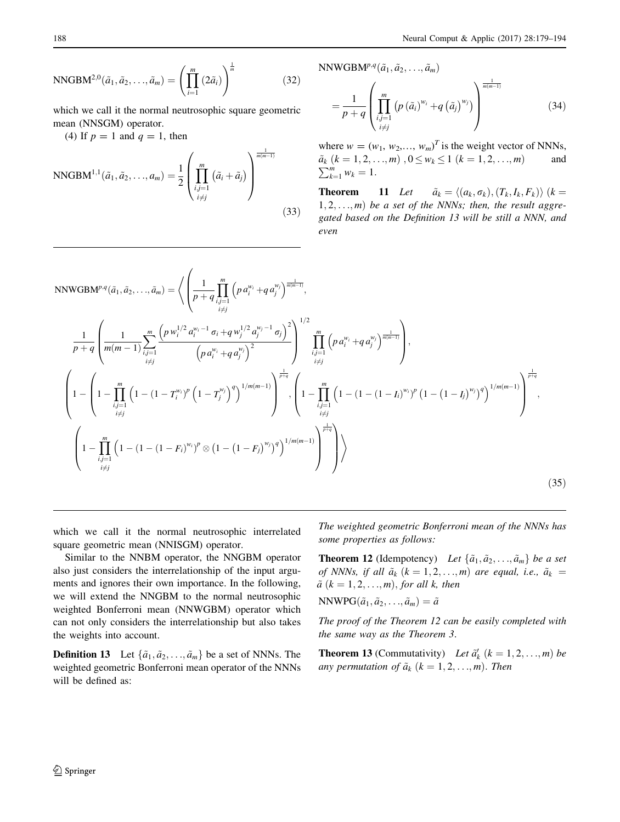$$
NNGBM^{2,0}(\tilde{a}_1, \tilde{a}_2, \dots, \tilde{a}_m) = \left(\prod_{i=1}^m (2\tilde{a}_i)\right)^{\frac{1}{m}}
$$
(32)

which we call it the normal neutrosophic square geometric mean (NNSGM) operator.

(4) If  $p = 1$  and  $q = 1$ , then

NNGBM<sup>1,1</sup>(
$$
\tilde{a}_1, \tilde{a}_2, ..., a_m
$$
) =  $\frac{1}{2} \left( \prod_{\substack{i,j=1 \ i \neq j}}^m (\tilde{a}_i + \tilde{a}_j) \right)^{\frac{1}{m(m-1)}}$  (33)

$$
NNWGBM^{p,q}(\tilde{a}_1,\tilde{a}_2,\ldots,\tilde{a}_m)
$$

$$
=\frac{1}{p+q}\left(\prod_{\substack{i,j=1\\i\neq j}}^m\left(p\left(\tilde{a}_i\right)^{w_i}+q\left(\tilde{a}_j\right)^{w_j}\right)\right)^{\frac{1}{m(m-1)}}\tag{34}
$$

where  $w = (w_1, w_2, \dots, w_m)^T$  is the weight vector of NNNs,  $\tilde{a}_k$   $(k = 1, 2, ..., m)$ ,  $0 \le w_k \le 1$   $(k = 1, 2, ..., m)$  and  $\sum_{k=1}^{m} w_k = 1.$ 

**Theorem** 11 Let  $\tilde{a}_k = \langle (a_k, \sigma_k), (T_k, I_k, F_k) \rangle$   $(k =$  $1, 2, \ldots, m$  be a set of the NNNs; then, the result aggregated based on the Definition 13 will be still a NNN, and even

NNWGBM<sup>p,q</sup>(
$$
\tilde{a}_1, \tilde{a}_2, ..., \tilde{a}_m
$$
) =  $\left\langle \left( \frac{1}{p+q} \prod_{\substack{i,j=1 \ i \neq j}}^m \left( p a_i^{w_i} + q a_j^{w_j} \right)^{\frac{1}{m(m-1)}}, \frac{1}{p+q} \left( \frac{1}{m(m-1)} \sum_{\substack{i,j=1 \ i \neq j}}^m \frac{\left( p w_i^{1/2} a_i^{w_i-1} \sigma_i + q w_j^{1/2} a_j^{w_j-1} \sigma_j \right)^2}{\left( p a_i^{w_i} + q a_j^{w_j} \right)^2} \right)^{1/2} \prod_{\substack{i,j=1 \ i \neq j}}^m \left( p a_i^{w_i} + q a_j^{w_j} \right)^{\frac{1}{m(m-1)}} \right\rangle$ ,  

$$
\left( 1 - \left( 1 - \prod_{\substack{i,j=1 \ i \neq j}}^m \left( 1 - (1 - T_i^{w_i})^p \left( 1 - T_j^{w_j} \right)^q \right)^{1/m(m-1)} \right)^{\frac{1}{p+q}} \cdot \left( 1 - \prod_{\substack{j,j=1 \ i \neq j}}^m \left( 1 - (1 - (1 - I_i)^{w_i})^p \left( 1 - (1 - I_j)^{w_j} \right)^q \right)^{1/m(m-1)} \right)^{\frac{1}{p+q}}
$$

$$
\left( 1 - \prod_{\substack{i,j=1 \ i \neq j}}^m \left( 1 - (1 - (1 - F_i)^{w_i})^p \otimes \left( 1 - (1 - F_j)^{w_j} \right)^q \right)^{1/m(m-1)} \right)^{\frac{1}{p+q}} \right) \right\rangle
$$
(35)

which we call it the normal neutrosophic interrelated square geometric mean (NNISGM) operator.

Similar to the NNBM operator, the NNGBM operator also just considers the interrelationship of the input arguments and ignores their own importance. In the following, we will extend the NNGBM to the normal neutrosophic weighted Bonferroni mean (NNWGBM) operator which can not only considers the interrelationship but also takes the weights into account.

**Definition 13** Let  $\{\tilde{a}_1, \tilde{a}_2, \ldots, \tilde{a}_m\}$  be a set of NNNs. The weighted geometric Bonferroni mean operator of the NNNs will be defined as:

The weighted geometric Bonferroni mean of the NNNs has some properties as follows:

**Theorem 12** (Idempotency) Let  $\{\tilde{a}_1, \tilde{a}_2, \ldots, \tilde{a}_m\}$  be a set of NNNs, if all  $\tilde{a}_k$   $(k = 1, 2, ..., m)$  are equal, i.e.,  $\tilde{a}_k$  =  $\tilde{a}$   $(k = 1, 2, \ldots, m)$ , for all k, then  $NNWPG(\tilde{a}_1, \tilde{a}_2, \ldots, \tilde{a}_m) = \tilde{a}$ 

The proof of the Theorem 12 can be easily completed with the same way as the Theorem 3.

**Theorem 13** (Commutativity) Let  $\tilde{a}'_k$   $(k = 1, 2, ..., m)$  be any permutation of  $\tilde{a}_k$   $(k = 1, 2, \ldots, m)$ . Then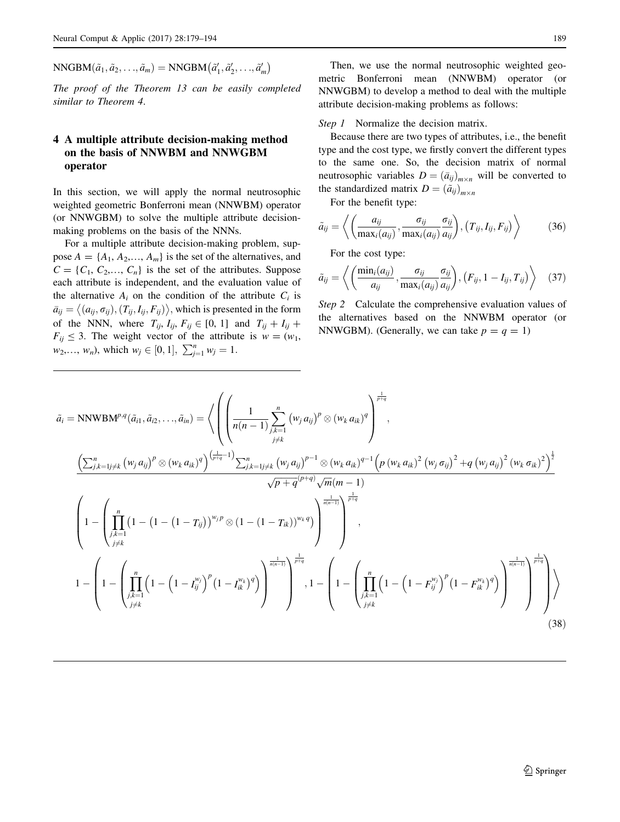<span id="page-10-0"></span> $NNGBM(\tilde{a}_1, \tilde{a}_2, \ldots, \tilde{a}_m) = NNGBM(\tilde{a}'_1, \tilde{a}'_2, \ldots, \tilde{a}'_m)$ 

The proof of the Theorem 13 can be easily completed similar to Theorem 4.

# 4 A multiple attribute decision-making method on the basis of NNWBM and NNWGBM operator

In this section, we will apply the normal neutrosophic weighted geometric Bonferroni mean (NNWBM) operator (or NNWGBM) to solve the multiple attribute decisionmaking problems on the basis of the NNNs.

For a multiple attribute decision-making problem, suppose  $A = \{A_1, A_2, \ldots, A_m\}$  is the set of the alternatives, and  $C = \{C_1, C_2, \ldots, C_n\}$  is the set of the attributes. Suppose each attribute is independent, and the evaluation value of the alternative  $A_i$  on the condition of the attribute  $C_i$  is  $\bar{a}_{ij} = \langle (a_{ij}, \sigma_{ij}), (T_{ij}, I_{ij}, F_{ij}) \rangle$ , which is presented in the form of the NNN, where  $T_{ij}$ ,  $I_{ij}$ ,  $F_{ij} \in [0, 1]$  and  $T_{ij} + I_{ij}$  +  $F_{ij} \leq 3$ . The weight vector of the attribute is  $w = (w_1,$  $w_2, \ldots, w_n$ , which  $w_j \in [0, 1]$ ,  $\sum_{j=1}^n w_j = 1$ .

Then, we use the normal neutrosophic weighted geometric Bonferroni mean (NNWBM) operator (or NNWGBM) to develop a method to deal with the multiple attribute decision-making problems as follows:

### Step 1 Normalize the decision matrix.

Because there are two types of attributes, i.e., the benefit type and the cost type, we firstly convert the different types to the same one. So, the decision matrix of normal neutrosophic variables  $D = (\bar{a}_{ij})_{m \times n}$  will be converted to the standardized matrix  $D = (\tilde{a}_{ij})_{m \times n}$ 

For the benefit type:

$$
\tilde{a}_{ij} = \left\langle \left( \frac{a_{ij}}{\max_i(a_{ij})}, \frac{\sigma_{ij}}{\max_i(a_{ij})} \frac{\sigma_{ij}}{a_{ij}} \right), \left( T_{ij}, I_{ij}, F_{ij} \right) \right\rangle
$$
(36)

For the cost type:

$$
\tilde{a}_{ij} = \left\langle \left( \frac{\min_i(a_{ij})}{a_{ij}}, \frac{\sigma_{ij}}{\max_i(a_{ij})} \frac{\sigma_{ij}}{a_{ij}} \right), \left( F_{ij}, 1 - I_{ij}, T_{ij} \right) \right\rangle \quad (37)
$$

Step 2 Calculate the comprehensive evaluation values of the alternatives based on the NNWBM operator (or NNWGBM). (Generally, we can take  $p = q = 1$ )

$$
\tilde{a}_{i} = \text{NNWBM}^{p,q}(\tilde{a}_{i1}, \tilde{a}_{i2}, \dots, \tilde{a}_{in}) = \left\langle \left( \left( \frac{1}{n(n-1)} \sum_{\substack{j,k=1 \ j \neq k}}^{n} (w_{j} a_{ij})^{p} \otimes (w_{k} a_{ik})^{q} \right)^{\frac{1}{p+q}}, \right. \\ \left. \frac{\left( \sum_{j,k=1 \ j \neq k}^{n} (w_{j} a_{ij})^{p} \otimes (w_{k} a_{ik})^{q} \right)^{\left( \frac{1}{p+q} - 1 \right)} \sum_{j,k=1 \ j \neq k}^{n} (w_{j} a_{ij})^{p-1} \otimes (w_{k} a_{ik})^{q-1} \left( p \left( w_{k} a_{ik} \right)^{2} \left( w_{j} \sigma_{ij} \right)^{2} + q \left( w_{j} a_{ij} \right)^{2} \left( w_{k} \sigma_{ik} \right)^{2} \right)^{\frac{1}{2}}}{\sqrt{p+q}^{(p+q)} \sqrt{m}(m-1)} \right\}^{n-p}
$$
\n
$$
\left( 1 - \left( \prod_{\substack{j,k=1 \ j \neq k}}^{n} \left( 1 - \left( 1 - (1 - T_{ij}) \right)^{w_{j}} p \otimes (1 - (1 - T_{ik}))^{w_{k}} q \right) \right)^{\frac{1}{p+q}} \right)^{\frac{1}{p+q}},
$$
\n
$$
1 - \left( 1 - \left( \prod_{\substack{j,k=1 \ j \neq k}}^{n} \left( 1 - \left( 1 - T_{ij}^{w_{j}} \right)^{p} \left( 1 - T_{ik}^{w_{k}} \right)^{q} \right) \right)^{\frac{1}{p+q}} \right), 1 - \left( 1 - \left( \prod_{\substack{j,k=1 \ j \neq k}}^{n} \left( 1 - \left( 1 - F_{ij}^{w_{j}} \right)^{p} \left( 1 - F_{ik}^{w_{k}} \right)^{q} \right) \right)^{\frac{1}{p+q}} \right) \right\}
$$
\n
$$
(38)
$$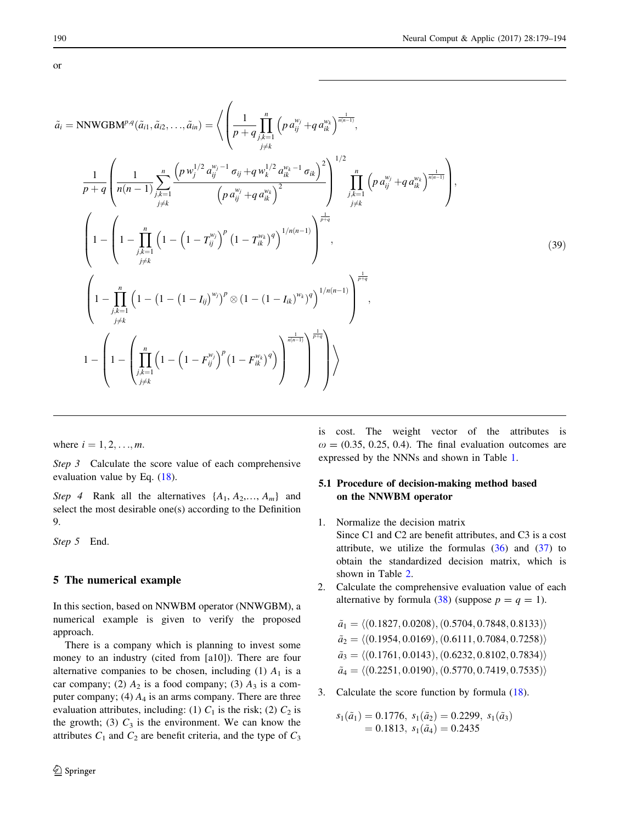<span id="page-11-0"></span>or

$$
\tilde{a}_{i} = \text{NNWGBM}^{p,q}(\tilde{a}_{i1}, \tilde{a}_{i2}, \dots, \tilde{a}_{in}) = \left\langle \left( \frac{1}{p+q} \prod_{\substack{j,k=1 \ j\neq k}}^{n} \left( p a_{ij}^{w_{j}} + q a_{ik}^{w_{k}} \right)^{\frac{1}{n(n-1)}}, \frac{1}{p+q} \left( \frac{1}{n(n-1)} \sum_{\substack{j,k=1 \ j\neq k}}^{n} \frac{\left( p w_{j}^{1/2} a_{ij}^{w_{j}-1} \sigma_{ij} + q w_{k}^{1/2} a_{ik}^{w_{k}-1} \sigma_{ik} \right)^{2}}{\left( p a_{ij}^{w_{j}} + q a_{ik}^{w_{k}} \right)^{2}} \right)^{1/2} \prod_{\substack{j,k=1 \ j\neq k}}^{n} \left( p a_{ij}^{w_{j}} + q a_{ik}^{w_{k}} \right)^{\frac{1}{n(n-1)}} \right\rangle,
$$
\n
$$
\left( 1 - \left( 1 - \prod_{\substack{j,k=1 \ j\neq k}}^{n} \left( 1 - \left( 1 - \left( 1 - T_{ij}^{w_{j}} \right)^{p} \left( 1 - T_{ik}^{w_{k}} \right)^{q} \right)^{1/n(n-1)} \right)^{\frac{1}{p+q}} \right), \frac{1}{p+q} \left( 1 - \prod_{\substack{j,k=1 \ j\neq k}}^{n} \left( 1 - \left( 1 - (1 - I_{ij})^{w_{j}} \right)^{p} \right)^{p} \otimes \left( 1 - (1 - I_{ik})^{w_{k}} \right)^{q} \right)^{1/n(n-1)} \right)^{\frac{1}{p+q}}, \frac{1}{p+q} \left( 1 - \left( 1 - \left( 1 - T_{ij}^{w_{j}} \right)^{p} \right)^{p} \left( 1 - T_{ik}^{w_{k}} \right)^{q} \right) \right\}.
$$
\n
$$
(39)
$$

where  $i = 1, 2, \ldots, m$ .

Step 3 Calculate the score value of each comprehensive evaluation value by Eq. ([18\)](#page-3-0).

Step 4 Rank all the alternatives  $\{A_1, A_2, ..., A_m\}$  and select the most desirable one(s) according to the Definition 9.

Step 5 End.

### 5 The numerical example

In this section, based on NNWBM operator (NNWGBM), a numerical example is given to verify the proposed approach.

There is a company which is planning to invest some money to an industry (cited from [a10]). There are four alternative companies to be chosen, including (1)  $A_1$  is a car company; (2)  $A_2$  is a food company; (3)  $A_3$  is a computer company; (4)  $A_4$  is an arms company. There are three evaluation attributes, including: (1)  $C_1$  is the risk; (2)  $C_2$  is the growth; (3)  $C_3$  is the environment. We can know the attributes  $C_1$  and  $C_2$  are benefit criteria, and the type of  $C_3$ 

is cost. The weight vector of the attributes is  $\omega = (0.35, 0.25, 0.4)$ . The final evaluation outcomes are expressed by the NNNs and shown in Table [1.](#page-12-0)

# 5.1 Procedure of decision-making method based on the NNWBM operator

- 1. Normalize the decision matrix Since C1 and C2 are benefit attributes, and C3 is a cost attribute, we utilize the formulas  $(36)$  $(36)$  and  $(37)$  $(37)$  to obtain the standardized decision matrix, which is shown in Table [2.](#page-12-0)
- 2. Calculate the comprehensive evaluation value of each alternative by formula ([38\)](#page-10-0) (suppose  $p = q = 1$ ).
	- $\tilde{a}_1 = \langle (0.1827, 0.0208), (0.5704, 0.7848, 0.8133) \rangle$  $\tilde{a}_2 = \langle (0.1954, 0.0169), (0.6111, 0.7084, 0.7258) \rangle$  $\tilde{a}_3 = \langle (0.1761, 0.0143), (0.6232, 0.8102, 0.7834) \rangle$  $\tilde{a}_4 = \langle (0.2251, 0.0190), (0.5770, 0.7419, 0.7535) \rangle$
- 3. Calculate the score function by formula ([18\)](#page-3-0).

$$
s_1(\tilde{a}_1) = 0.1776, \ s_1(\tilde{a}_2) = 0.2299, \ s_1(\tilde{a}_3) = 0.1813, \ s_1(\tilde{a}_4) = 0.2435
$$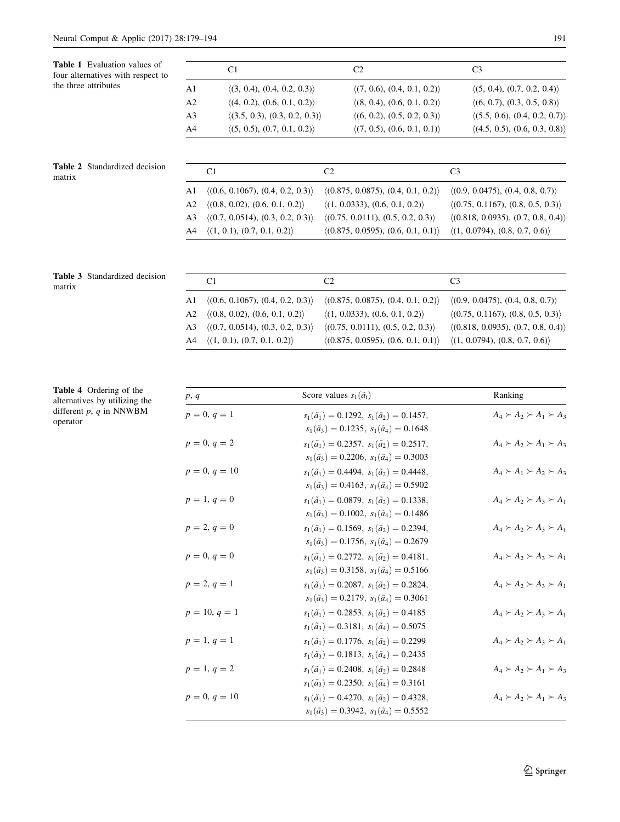<span id="page-12-0"></span>

| <b>Table 1</b> Evaluation values of<br>four alternatives with respect to |                | C1                                               | C <sub>2</sub>                                     | C <sub>3</sub>                                    |
|--------------------------------------------------------------------------|----------------|--------------------------------------------------|----------------------------------------------------|---------------------------------------------------|
| the three attributes                                                     | A1             | $\langle (3, 0.4), (0.4, 0.2, 0.3) \rangle$      | $\langle (7, 0.6), (0.4, 0.1, 0.2) \rangle$        | $\langle (5, 0.4), (0.7, 0.2, 0.4) \rangle$       |
|                                                                          | A2             | $\langle (4, 0.2), (0.6, 0.1, 0.2) \rangle$      | $\langle (8, 0.4), (0.6, 0.1, 0.2) \rangle$        | $\langle (6, 0.7), (0.3, 0.5, 0.8) \rangle$       |
|                                                                          | A <sub>3</sub> | $\langle (3.5, 0.3), (0.3, 0.2, 0.3) \rangle$    | $\langle (6, 0.2), (0.5, 0.2, 0.3) \rangle$        | $\langle (5.5, 0.6), (0.4, 0.2, 0.7) \rangle$     |
|                                                                          | A <sub>4</sub> | $\langle (5, 0.5), (0.7, 0.1, 0.2) \rangle$      | $\langle (7, 0.5), (0.6, 0.1, 0.1) \rangle$        | $\langle (4.5, 0.5), (0.6, 0.3, 0.8) \rangle$     |
|                                                                          |                |                                                  |                                                    |                                                   |
| <b>Table 2</b> Standardized decision<br>matrix                           |                | C1                                               | C <sub>2</sub>                                     | C <sub>3</sub>                                    |
|                                                                          | A1             | $\langle (0.6, 0.1067), (0.4, 0.2, 0.3) \rangle$ | $\langle (0.875, 0.0875), (0.4, 0.1, 0.2) \rangle$ | $\langle (0.9, 0.0475), (0.4, 0.8, 0.7) \rangle$  |
|                                                                          | A <sub>2</sub> | $\langle (0.8, 0.02), (0.6, 0.1, 0.2) \rangle$   | $\langle (1, 0.0333), (0.6, 0.1, 0.2) \rangle$     | $\langle (0.75, 0.1167), (0.8, 0.5, 0.3) \rangle$ |
|                                                                          | A <sub>3</sub> | $\langle (0.7, 0.0514), (0.3, 0.2, 0.3) \rangle$ | $\langle (0.75, 0.0111), (0.5, 0.2, 0.3) \rangle$  | (0.818, 0.0935), (0.7, 0.8, 0.4)                  |
|                                                                          | A4             | $\langle (1, 0.1), (0.7, 0.1, 0.2) \rangle$      | $\langle (0.875, 0.0595), (0.6, 0.1, 0.1) \rangle$ | $\langle (1, 0.0794), (0.8, 0.7, 0.6) \rangle$    |
|                                                                          |                |                                                  |                                                    |                                                   |
| <b>Table 3</b> Standardized decision<br>matrix                           |                | C <sub>1</sub>                                   | C <sub>2</sub>                                     | C <sub>3</sub>                                    |
|                                                                          | A1             | $\langle (0.6, 0.1067), (0.4, 0.2, 0.3) \rangle$ | $\langle (0.875, 0.0875), (0.4, 0.1, 0.2) \rangle$ | (0.9, 0.0475), (0.4, 0.8, 0.7))                   |
|                                                                          | A <sub>2</sub> | $\langle (0.8, 0.02), (0.6, 0.1, 0.2) \rangle$   | $\langle (1, 0.0333), (0.6, 0.1, 0.2) \rangle$     | (0.75, 0.1167), (0.8, 0.5, 0.3)                   |
|                                                                          | A <sub>3</sub> | $\langle (0.7, 0.0514), (0.3, 0.2, 0.3) \rangle$ | $\langle (0.75, 0.0111), (0.5, 0.2, 0.3) \rangle$  | (0.818, 0.0935), (0.7, 0.8, 0.4)                  |
|                                                                          | A4             | $\langle (1, 0.1), (0.7, 0.1, 0.2) \rangle$      | $\langle (0.875, 0.0595), (0.6, 0.1, 0.1) \rangle$ | $\langle (1, 0.0794), (0.8, 0.7, 0.6) \rangle$    |

Table 4 Ordering of the alternatives by utilizing the different p, q in NNWBM operator

| p, q            | Score values $s_1(\tilde{a}_i)$                                                                                                                                             | Ranking                             |  |
|-----------------|-----------------------------------------------------------------------------------------------------------------------------------------------------------------------------|-------------------------------------|--|
| $p = 0, q = 1$  | $s_1(\tilde{a}_1)=0.1292, s_1(\tilde{a}_2)=0.1457,$<br>$s_1(\tilde{a}_3) = 0.1235, s_1(\tilde{a}_4) = 0.1648$                                                               | $A_4 \succ A_2 \succ A_1 \succ A_3$ |  |
| $p = 0, q = 2$  | $s_1(\tilde{a}_1) = 0.2357$ , $s_1(\tilde{a}_2) = 0.2517$ ,<br>$s_1(\tilde{a}_3) = 0.2206, s_1(\tilde{a}_4) = 0.3003$                                                       | $A_4 \succ A_2 \succ A_1 \succ A_3$ |  |
| $p = 0, q = 10$ | $s_1(\tilde{a}_1) = 0.4494, s_1(\tilde{a}_2) = 0.4448,$                                                                                                                     | $A_4 \succ A_1 \succ A_2 \succ A_3$ |  |
| $p = 1, q = 0$  | $s_1(\tilde{a}_3) = 0.4163$ , $s_1(\tilde{a}_4) = 0.5902$<br>$s_1(\tilde{a}_1) = 0.0879, s_1(\tilde{a}_2) = 0.1338,$                                                        | $A_4 \succ A_2 \succ A_3 \succ A_1$ |  |
| $p = 2, q = 0$  | $s_1(\tilde{a}_3) = 0.1002$ , $s_1(\tilde{a}_4) = 0.1486$<br>$s_1(\tilde{a}_1) = 0.1569$ , $s_1(\tilde{a}_2) = 0.2394$ ,                                                    | $A_4 \succ A_2 \succ A_3 \succ A_1$ |  |
| $p = 0, q = 0$  | $s_1(\tilde{a}_3) = 0.1756, s_1(\tilde{a}_4) = 0.2679$<br>$s_1(\tilde{a}_1) = 0.2772$ , $s_1(\tilde{a}_2) = 0.4181$ ,                                                       | $A_4 \succ A_2 \succ A_3 \succ A_1$ |  |
| $p = 2, q = 1$  | $s_1(\tilde{a}_3) = 0.3158, s_1(\tilde{a}_4) = 0.5166$<br>$s_1(\tilde{a}_1) = 0.2087$ , $s_1(\tilde{a}_2) = 0.2824$ ,                                                       | $A_4 \succ A_2 \succ A_3 \succ A_1$ |  |
| $p = 10, q = 1$ | $s_1(\tilde{a}_3) = 0.2179$ , $s_1(\tilde{a}_4) = 0.3061$<br>$s_1(\tilde{a}_1) = 0.2853$ , $s_1(\tilde{a}_2) = 0.4185$                                                      | $A_4 \succ A_2 \succ A_3 \succ A_1$ |  |
| $p = 1, q = 1$  | $s_1(\tilde{a}_3) = 0.3181, s_1(\tilde{a}_4) = 0.5075$<br>$s_1(\tilde{a}_1) = 0.1776, s_1(\tilde{a}_2) = 0.2299$                                                            | $A_4 \succ A_2 \succ A_3 \succ A_1$ |  |
| $p = 1, q = 2$  | $s_1(\tilde{a}_3) = 0.1813$ , $s_1(\tilde{a}_4) = 0.2435$<br>$s_1(\tilde{a}_1) = 0.2408$ , $s_1(\tilde{a}_2) = 0.2848$                                                      | $A_4 \succ A_2 \succ A_1 \succ A_3$ |  |
| $p = 0, q = 10$ | $s_1(\tilde{a}_3) = 0.2350, s_1(\tilde{a}_4) = 0.3161$<br>$s_1(\tilde{a}_1) = 0.4270, s_1(\tilde{a}_2) = 0.4328,$<br>$s_1(\tilde{a}_3) = 0.3942, s_1(\tilde{a}_4) = 0.5552$ | $A_4 \succ A_2 \succ A_1 \succ A_3$ |  |
|                 |                                                                                                                                                                             |                                     |  |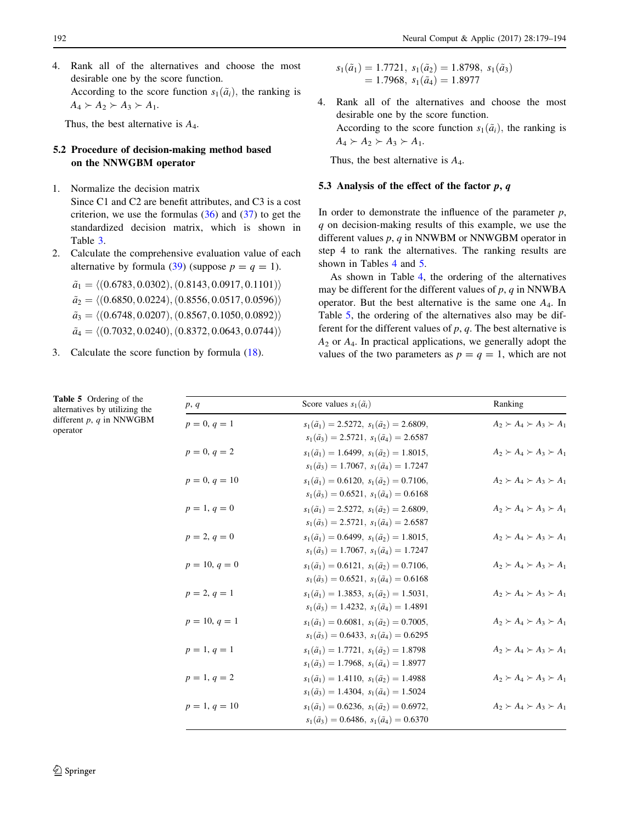4. Rank all of the alternatives and choose the most desirable one by the score function. According to the score function  $s_1(\tilde{a}_i)$ , the ranking is  $A_4 \succ A_2 \succ A_3 \succ A_1.$ 

Thus, the best alternative is  $A_4$ .

## 5.2 Procedure of decision-making method based on the NNWGBM operator

- 1. Normalize the decision matrix
- Since C1 and C2 are benefit attributes, and C3 is a cost criterion, we use the formulas  $(36)$  $(36)$  and  $(37)$  $(37)$  to get the standardized decision matrix, which is shown in Table [3](#page-12-0).
- 2. Calculate the comprehensive evaluation value of each alternative by formula [\(39](#page-11-0)) (suppose  $p = q = 1$ ).

 $\tilde{a}_1 = \langle (0.6783, 0.0302), (0.8143, 0.0917, 0.1101) \rangle$  $\tilde{a}_2 = \langle (0.6850, 0.0224), (0.8556, 0.0517, 0.0596) \rangle$  $\tilde{a}_3 = \langle (0.6748, 0.0207), (0.8567, 0.1050, 0.0892) \rangle$  $\tilde{a}_4 = \langle (0.7032, 0.0240), (0.8372, 0.0643, 0.0744) \rangle$ 

3. Calculate the score function by formula ([18\)](#page-3-0).

 $s_1(\tilde{a}_1) = 1.7721, s_1(\tilde{a}_2) = 1.8798, s_1(\tilde{a}_3)$  $= 1.7968$ ,  $s_1(\tilde{a}_4) = 1.8977$ 

4. Rank all of the alternatives and choose the most desirable one by the score function. According to the score function  $s_1(\tilde{a}_i)$ , the ranking is  $A_4 \succ A_2 \succ A_3 \succ A_1$ .

Thus, the best alternative is  $A_4$ .

### 5.3 Analysis of the effect of the factor  $p$ ,  $q$

In order to demonstrate the influence of the parameter  $p$ ,  $q$  on decision-making results of this example, we use the different values  $p$ ,  $q$  in NNWBM or NNWGBM operator in step 4 to rank the alternatives. The ranking results are shown in Tables [4](#page-12-0) and 5.

As shown in Table [4,](#page-12-0) the ordering of the alternatives may be different for the different values of  $p$ ,  $q$  in NNWBA operator. But the best alternative is the same one  $A_4$ . In Table 5, the ordering of the alternatives also may be different for the different values of  $p$ ,  $q$ . The best alternative is  $A_2$  or  $A_4$ . In practical applications, we generally adopt the values of the two parameters as  $p = q = 1$ , which are not

| Table 5 Ordering of the<br>alternatives by utilizing the<br>different $p$ , $q$ in NNWGBM<br>operator | p, q            | Score values $s_1(\tilde{a}_i)$                                                                                                                                             | Ranking                             |
|-------------------------------------------------------------------------------------------------------|-----------------|-----------------------------------------------------------------------------------------------------------------------------------------------------------------------------|-------------------------------------|
|                                                                                                       | $p = 0, q = 1$  | $s_1(\tilde{a}_1) = 2.5272$ , $s_1(\tilde{a}_2) = 2.6809$ ,<br>$s_1(\tilde{a}_3) = 2.5721, s_1(\tilde{a}_4) = 2.6587$                                                       | $A_2 \succ A_4 \succ A_3 \succ A_1$ |
|                                                                                                       | $p = 0, q = 2$  | $s_1(\tilde{a}_1) = 1.6499, s_1(\tilde{a}_2) = 1.8015,$<br>$s_1(\tilde{a}_3) = 1.7067, s_1(\tilde{a}_4) = 1.7247$                                                           | $A_2 \succ A_4 \succ A_3 \succ A_1$ |
|                                                                                                       | $p = 0, q = 10$ | $s_1(\tilde{a}_1) = 0.6120, s_1(\tilde{a}_2) = 0.7106,$<br>$s_1(\tilde{a}_3) = 0.6521, s_1(\tilde{a}_4) = 0.6168$                                                           | $A_2 \succ A_4 \succ A_3 \succ A_1$ |
|                                                                                                       | $p = 1, q = 0$  | $s_1(\tilde{a}_1) = 2.5272$ , $s_1(\tilde{a}_2) = 2.6809$ ,<br>$s_1(\tilde{a}_3) = 2.5721, s_1(\tilde{a}_4) = 2.6587$                                                       | $A_2 \succ A_4 \succ A_3 \succ A_1$ |
|                                                                                                       | $p = 2, q = 0$  | $s_1(\tilde{a}_1) = 0.6499, s_1(\tilde{a}_2) = 1.8015,$<br>$s_1(\tilde{a}_3) = 1.7067, s_1(\tilde{a}_4) = 1.7247$                                                           | $A_2 \succ A_4 \succ A_3 \succ A_1$ |
|                                                                                                       | $p = 10, q = 0$ | $s_1(\tilde{a}_1) = 0.6121$ , $s_1(\tilde{a}_2) = 0.7106$ ,<br>$s_1(\tilde{a}_3) = 0.6521, s_1(\tilde{a}_4) = 0.6168$                                                       | $A_2 \succ A_4 \succ A_3 \succ A_1$ |
|                                                                                                       | $p = 2, q = 1$  | $s_1(\tilde{a}_1) = 1.3853$ , $s_1(\tilde{a}_2) = 1.5031$ ,<br>$s_1(\tilde{a}_3) = 1.4232, s_1(\tilde{a}_4) = 1.4891$                                                       | $A_2 \succ A_4 \succ A_3 \succ A_1$ |
|                                                                                                       | $p = 10, q = 1$ | $s_1(\tilde{a}_1) = 0.6081, s_1(\tilde{a}_2) = 0.7005,$<br>$s_1(\tilde{a}_3) = 0.6433, s_1(\tilde{a}_4) = 0.6295$                                                           | $A_2 \succ A_4 \succ A_3 \succ A_1$ |
|                                                                                                       | $p = 1, q = 1$  | $s_1(\tilde{a}_1) = 1.7721, s_1(\tilde{a}_2) = 1.8798$<br>$s_1(\tilde{a}_3) = 1.7968, s_1(\tilde{a}_4) = 1.8977$                                                            | $A_2 \succ A_4 \succ A_3 \succ A_1$ |
|                                                                                                       | $p = 1, q = 2$  | $s_1(\tilde{a}_1) = 1.4110, s_1(\tilde{a}_2) = 1.4988$                                                                                                                      | $A_2 \succ A_4 \succ A_3 \succ A_1$ |
|                                                                                                       | $p = 1, q = 10$ | $s_1(\tilde{a}_3) = 1.4304, s_1(\tilde{a}_4) = 1.5024$<br>$s_1(\tilde{a}_1) = 0.6236, s_1(\tilde{a}_2) = 0.6972,$<br>$s_1(\tilde{a}_3) = 0.6486, s_1(\tilde{a}_4) = 0.6370$ | $A_2 \succ A_4 \succ A_3 \succ A_1$ |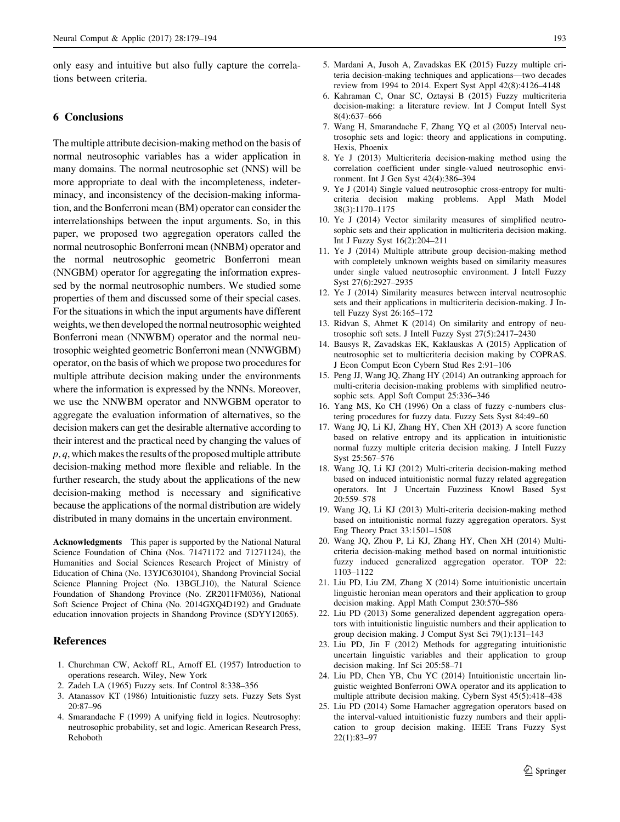<span id="page-14-0"></span>only easy and intuitive but also fully capture the correlations between criteria.

### 6 Conclusions

The multiple attribute decision-making method on the basis of normal neutrosophic variables has a wider application in many domains. The normal neutrosophic set (NNS) will be more appropriate to deal with the incompleteness, indeterminacy, and inconsistency of the decision-making information, and the Bonferroni mean (BM) operator can consider the interrelationships between the input arguments. So, in this paper, we proposed two aggregation operators called the normal neutrosophic Bonferroni mean (NNBM) operator and the normal neutrosophic geometric Bonferroni mean (NNGBM) operator for aggregating the information expressed by the normal neutrosophic numbers. We studied some properties of them and discussed some of their special cases. For the situations in which the input arguments have different weights, wethen developedthe normal neutrosophic weighted Bonferroni mean (NNWBM) operator and the normal neutrosophic weighted geometric Bonferroni mean (NNWGBM) operator, on the basis of which we propose two procedures for multiple attribute decision making under the environments where the information is expressed by the NNNs. Moreover, we use the NNWBM operator and NNWGBM operator to aggregate the evaluation information of alternatives, so the decision makers can get the desirable alternative according to their interest and the practical need by changing the values of  $p, q$ , which makes the results of the proposed multiple attribute decision-making method more flexible and reliable. In the further research, the study about the applications of the new decision-making method is necessary and significative because the applications of the normal distribution are widely distributed in many domains in the uncertain environment.

Acknowledgments This paper is supported by the National Natural Science Foundation of China (Nos. 71471172 and 71271124), the Humanities and Social Sciences Research Project of Ministry of Education of China (No. 13YJC630104), Shandong Provincial Social Science Planning Project (No. 13BGLJ10), the Natural Science Foundation of Shandong Province (No. ZR2011FM036), National Soft Science Project of China (No. 2014GXQ4D192) and Graduate education innovation projects in Shandong Province (SDYY12065).

### References

- 1. Churchman CW, Ackoff RL, Arnoff EL (1957) Introduction to operations research. Wiley, New York
- 2. Zadeh LA (1965) Fuzzy sets. Inf Control 8:338–356
- 3. Atanassov KT (1986) Intuitionistic fuzzy sets. Fuzzy Sets Syst 20:87–96
- 4. Smarandache F (1999) A unifying field in logics. Neutrosophy: neutrosophic probability, set and logic. American Research Press, Rehoboth
- 5. Mardani A, Jusoh A, Zavadskas EK (2015) Fuzzy multiple criteria decision-making techniques and applications—two decades review from 1994 to 2014. Expert Syst Appl 42(8):4126–4148
- 6. Kahraman C, Onar SC, Oztaysi B (2015) Fuzzy multicriteria decision-making: a literature review. Int J Comput Intell Syst 8(4):637–666
- 7. Wang H, Smarandache F, Zhang YQ et al (2005) Interval neutrosophic sets and logic: theory and applications in computing. Hexis, Phoenix
- 8. Ye J (2013) Multicriteria decision-making method using the correlation coefficient under single-valued neutrosophic environment. Int J Gen Syst 42(4):386–394
- 9. Ye J (2014) Single valued neutrosophic cross-entropy for multicriteria decision making problems. Appl Math Model 38(3):1170–1175
- 10. Ye J (2014) Vector similarity measures of simplified neutrosophic sets and their application in multicriteria decision making. Int J Fuzzy Syst 16(2):204–211
- 11. Ye J (2014) Multiple attribute group decision-making method with completely unknown weights based on similarity measures under single valued neutrosophic environment. J Intell Fuzzy Syst 27(6):2927–2935
- 12. Ye J (2014) Similarity measures between interval neutrosophic sets and their applications in multicriteria decision-making. J Intell Fuzzy Syst 26:165–172
- 13. Ridvan S, Ahmet K (2014) On similarity and entropy of neutrosophic soft sets. J Intell Fuzzy Syst 27(5):2417–2430
- 14. Bausys R, Zavadskas EK, Kaklauskas A (2015) Application of neutrosophic set to multicriteria decision making by COPRAS. J Econ Comput Econ Cybern Stud Res 2:91–106
- 15. Peng JJ, Wang JQ, Zhang HY (2014) An outranking approach for multi-criteria decision-making problems with simplified neutrosophic sets. Appl Soft Comput 25:336–346
- 16. Yang MS, Ko CH (1996) On a class of fuzzy c-numbers clustering procedures for fuzzy data. Fuzzy Sets Syst 84:49–60
- 17. Wang JQ, Li KJ, Zhang HY, Chen XH (2013) A score function based on relative entropy and its application in intuitionistic normal fuzzy multiple criteria decision making. J Intell Fuzzy Syst 25:567–576
- 18. Wang JQ, Li KJ (2012) Multi-criteria decision-making method based on induced intuitionistic normal fuzzy related aggregation operators. Int J Uncertain Fuzziness Knowl Based Syst 20:559–578
- 19. Wang JQ, Li KJ (2013) Multi-criteria decision-making method based on intuitionistic normal fuzzy aggregation operators. Syst Eng Theory Pract 33:1501–1508
- 20. Wang JQ, Zhou P, Li KJ, Zhang HY, Chen XH (2014) Multicriteria decision-making method based on normal intuitionistic fuzzy induced generalized aggregation operator. TOP 22: 1103–1122
- 21. Liu PD, Liu ZM, Zhang X (2014) Some intuitionistic uncertain linguistic heronian mean operators and their application to group decision making. Appl Math Comput 230:570–586
- 22. Liu PD (2013) Some generalized dependent aggregation operators with intuitionistic linguistic numbers and their application to group decision making. J Comput Syst Sci 79(1):131–143
- 23. Liu PD, Jin F (2012) Methods for aggregating intuitionistic uncertain linguistic variables and their application to group decision making. Inf Sci 205:58–71
- 24. Liu PD, Chen YB, Chu YC (2014) Intuitionistic uncertain linguistic weighted Bonferroni OWA operator and its application to multiple attribute decision making. Cybern Syst 45(5):418–438
- 25. Liu PD (2014) Some Hamacher aggregation operators based on the interval-valued intuitionistic fuzzy numbers and their application to group decision making. IEEE Trans Fuzzy Syst 22(1):83–97